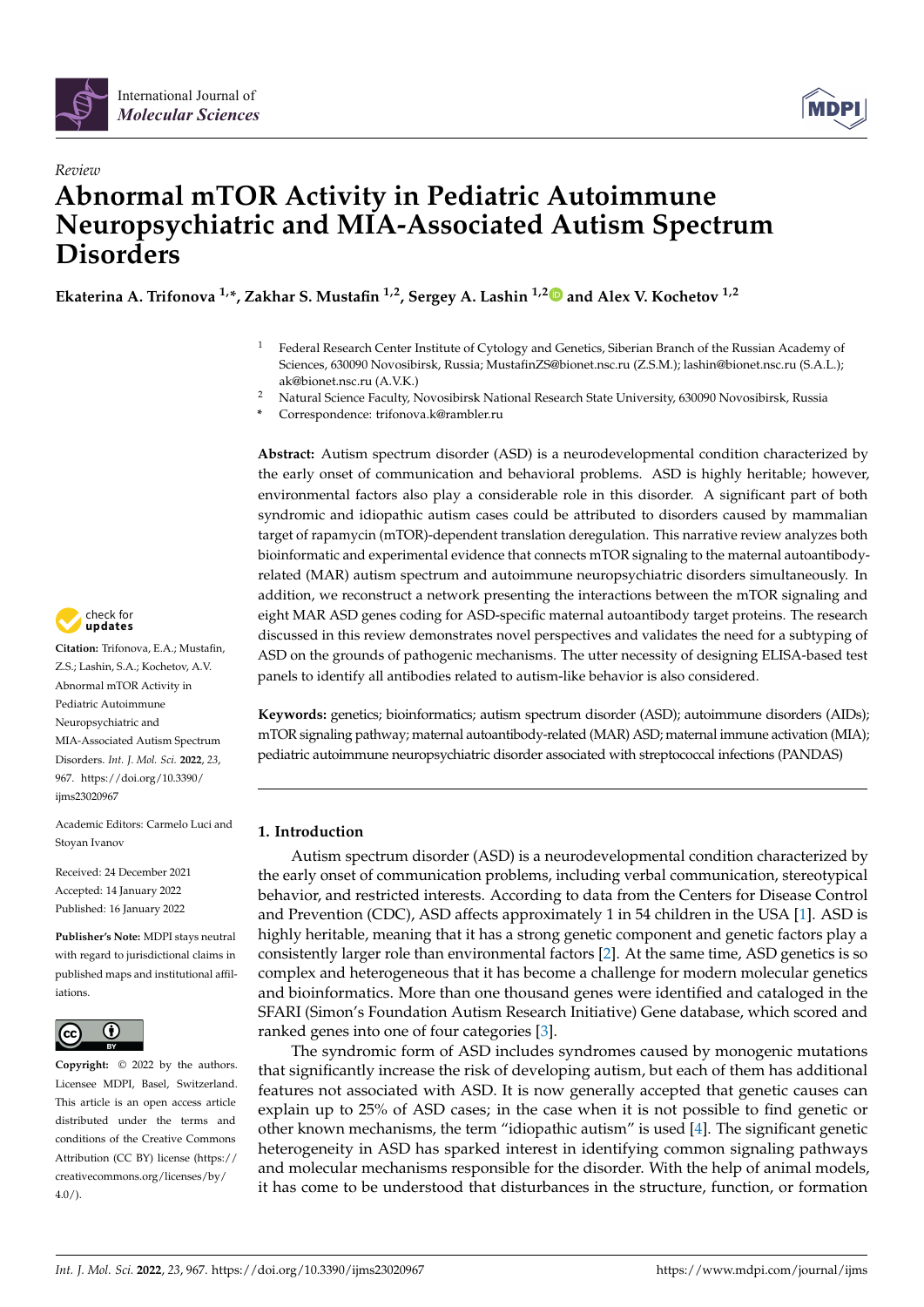



# *Review* **Abnormal mTOR Activity in Pediatric Autoimmune Neuropsychiatric and MIA-Associated Autism Spectrum Disorders**

**Ekaterina A. Trifonova 1,\*, Zakhar S. Mustafin 1,2, Sergey A. Lashin 1,[2](https://orcid.org/0000-0003-3138-381X) and Alex V. Kochetov 1,2**

- <sup>1</sup> Federal Research Center Institute of Cytology and Genetics, Siberian Branch of the Russian Academy of Sciences, 630090 Novosibirsk, Russia; MustafinZS@bionet.nsc.ru (Z.S.M.); lashin@bionet.nsc.ru (S.A.L.); ak@bionet.nsc.ru (A.V.K.)
- <sup>2</sup> Natural Science Faculty, Novosibirsk National Research State University, 630090 Novosibirsk, Russia
- **\*** Correspondence: trifonova.k@rambler.ru

**Abstract:** Autism spectrum disorder (ASD) is a neurodevelopmental condition characterized by the early onset of communication and behavioral problems. ASD is highly heritable; however, environmental factors also play a considerable role in this disorder. A significant part of both syndromic and idiopathic autism cases could be attributed to disorders caused by mammalian target of rapamycin (mTOR)-dependent translation deregulation. This narrative review analyzes both bioinformatic and experimental evidence that connects mTOR signaling to the maternal autoantibodyrelated (MAR) autism spectrum and autoimmune neuropsychiatric disorders simultaneously. In addition, we reconstruct a network presenting the interactions between the mTOR signaling and eight MAR ASD genes coding for ASD-specific maternal autoantibody target proteins. The research discussed in this review demonstrates novel perspectives and validates the need for a subtyping of ASD on the grounds of pathogenic mechanisms. The utter necessity of designing ELISA-based test panels to identify all antibodies related to autism-like behavior is also considered.

**Keywords:** genetics; bioinformatics; autism spectrum disorder (ASD); autoimmune disorders (AIDs); mTOR signaling pathway; maternal autoantibody-related (MAR) ASD; maternal immune activation (MIA); pediatric autoimmune neuropsychiatric disorder associated with streptococcal infections (PANDAS)

## **1. Introduction**

Autism spectrum disorder (ASD) is a neurodevelopmental condition characterized by the early onset of communication problems, including verbal communication, stereotypical behavior, and restricted interests. According to data from the Centers for Disease Control and Prevention (CDC), ASD affects approximately 1 in 54 children in the USA [\[1\]](#page-9-0). ASD is highly heritable, meaning that it has a strong genetic component and genetic factors play a consistently larger role than environmental factors [\[2\]](#page-9-1). At the same time, ASD genetics is so complex and heterogeneous that it has become a challenge for modern molecular genetics and bioinformatics. More than one thousand genes were identified and cataloged in the SFARI (Simon's Foundation Autism Research Initiative) Gene database, which scored and ranked genes into one of four categories [\[3\]](#page-9-2).

The syndromic form of ASD includes syndromes caused by monogenic mutations that significantly increase the risk of developing autism, but each of them has additional features not associated with ASD. It is now generally accepted that genetic causes can explain up to 25% of ASD cases; in the case when it is not possible to find genetic or other known mechanisms, the term "idiopathic autism" is used [\[4\]](#page-9-3). The significant genetic heterogeneity in ASD has sparked interest in identifying common signaling pathways and molecular mechanisms responsible for the disorder. With the help of animal models, it has come to be understood that disturbances in the structure, function, or formation



**Citation:** Trifonova, E.A.; Mustafin, Z.S.; Lashin, S.A.; Kochetov, A.V. Abnormal mTOR Activity in Pediatric Autoimmune Neuropsychiatric and MIA-Associated Autism Spectrum Disorders. *Int. J. Mol. Sci.* **2022**, *23*, 967. [https://doi.org/10.3390/](https://doi.org/10.3390/ijms23020967) [ijms23020967](https://doi.org/10.3390/ijms23020967)

Academic Editors: Carmelo Luci and Stoyan Ivanov

Received: 24 December 2021 Accepted: 14 January 2022 Published: 16 January 2022

**Publisher's Note:** MDPI stays neutral with regard to jurisdictional claims in published maps and institutional affiliations.



**Copyright:** © 2022 by the authors. Licensee MDPI, Basel, Switzerland. This article is an open access article distributed under the terms and conditions of the Creative Commons Attribution (CC BY) license [\(https://](https://creativecommons.org/licenses/by/4.0/) [creativecommons.org/licenses/by/](https://creativecommons.org/licenses/by/4.0/)  $4.0/$ ).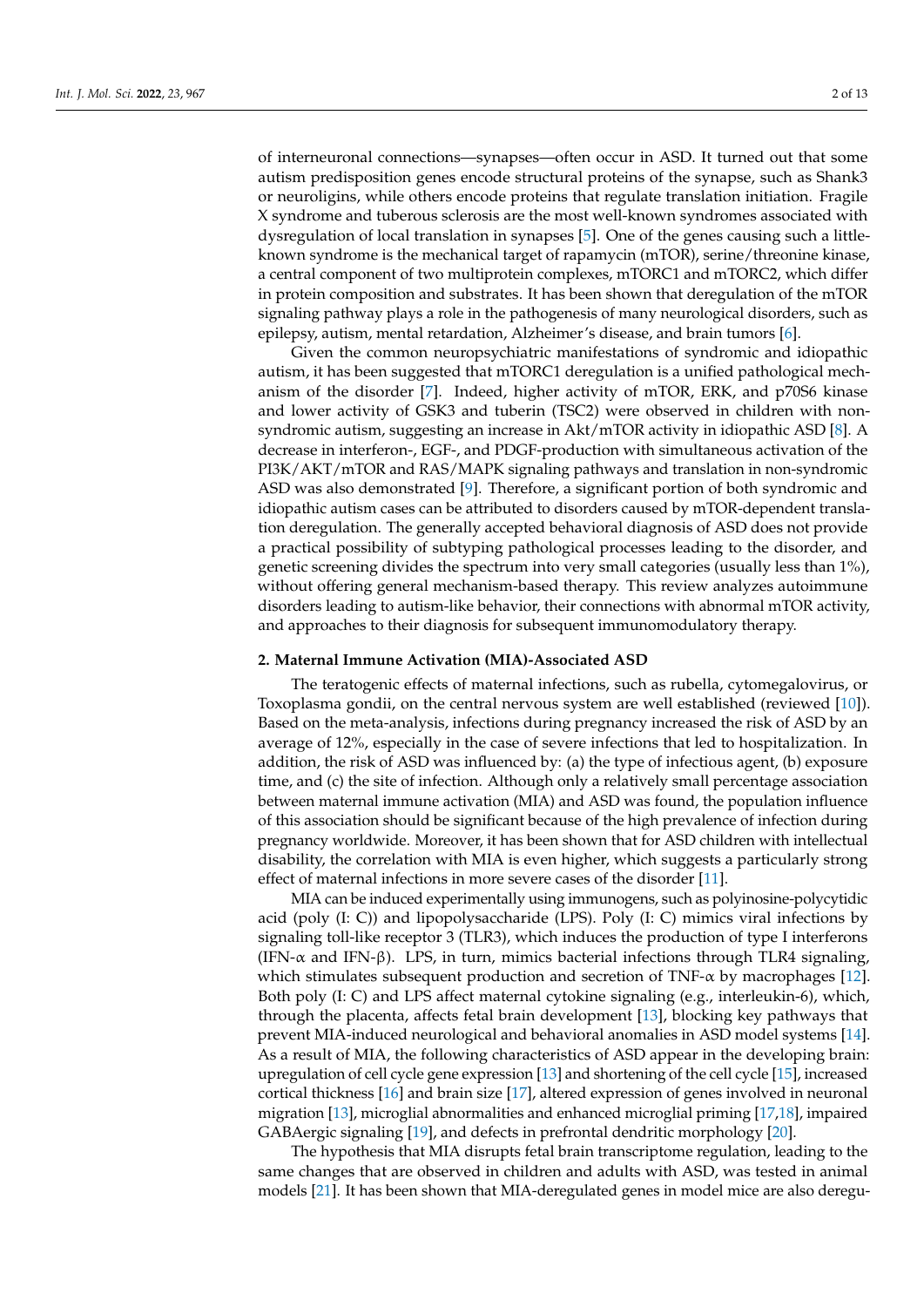of interneuronal connections—synapses—often occur in ASD. It turned out that some autism predisposition genes encode structural proteins of the synapse, such as Shank3 or neuroligins, while others encode proteins that regulate translation initiation. Fragile X syndrome and tuberous sclerosis are the most well-known syndromes associated with dysregulation of local translation in synapses [\[5\]](#page-9-4). One of the genes causing such a littleknown syndrome is the mechanical target of rapamycin (mTOR), serine/threonine kinase, a central component of two multiprotein complexes, mTORC1 and mTORC2, which differ in protein composition and substrates. It has been shown that deregulation of the mTOR signaling pathway plays a role in the pathogenesis of many neurological disorders, such as epilepsy, autism, mental retardation, Alzheimer's disease, and brain tumors [\[6\]](#page-9-5).

Given the common neuropsychiatric manifestations of syndromic and idiopathic autism, it has been suggested that mTORC1 deregulation is a unified pathological mechanism of the disorder [\[7\]](#page-9-6). Indeed, higher activity of mTOR, ERK, and p70S6 kinase and lower activity of GSK3 and tuberin (TSC2) were observed in children with nonsyndromic autism, suggesting an increase in Akt/mTOR activity in idiopathic ASD [\[8\]](#page-9-7). A decrease in interferon-, EGF-, and PDGF-production with simultaneous activation of the PI3K/AKT/mTOR and RAS/MAPK signaling pathways and translation in non-syndromic ASD was also demonstrated [\[9\]](#page-10-0). Therefore, a significant portion of both syndromic and idiopathic autism cases can be attributed to disorders caused by mTOR-dependent translation deregulation. The generally accepted behavioral diagnosis of ASD does not provide a practical possibility of subtyping pathological processes leading to the disorder, and genetic screening divides the spectrum into very small categories (usually less than 1%), without offering general mechanism-based therapy. This review analyzes autoimmune disorders leading to autism-like behavior, their connections with abnormal mTOR activity, and approaches to their diagnosis for subsequent immunomodulatory therapy.

#### **2. Maternal Immune Activation (MIA)-Associated ASD**

The teratogenic effects of maternal infections, such as rubella, cytomegalovirus, or Toxoplasma gondii, on the central nervous system are well established (reviewed [\[10\]](#page-10-1)). Based on the meta-analysis, infections during pregnancy increased the risk of ASD by an average of 12%, especially in the case of severe infections that led to hospitalization. In addition, the risk of ASD was influenced by: (a) the type of infectious agent, (b) exposure time, and (c) the site of infection. Although only a relatively small percentage association between maternal immune activation (MIA) and ASD was found, the population influence of this association should be significant because of the high prevalence of infection during pregnancy worldwide. Moreover, it has been shown that for ASD children with intellectual disability, the correlation with MIA is even higher, which suggests a particularly strong effect of maternal infections in more severe cases of the disorder [\[11\]](#page-10-2).

MIA can be induced experimentally using immunogens, such as polyinosine-polycytidic acid (poly  $(I: C)$ ) and lipopolysaccharide (LPS). Poly  $(I: C)$  mimics viral infections by signaling toll-like receptor 3 (TLR3), which induces the production of type I interferons (IFN-α and IFN-β). LPS, in turn, mimics bacterial infections through TLR4 signaling, which stimulates subsequent production and secretion of TNF- $\alpha$  by macrophages [\[12\]](#page-10-3). Both poly (I: C) and LPS affect maternal cytokine signaling (e.g., interleukin-6), which, through the placenta, affects fetal brain development [\[13\]](#page-10-4), blocking key pathways that prevent MIA-induced neurological and behavioral anomalies in ASD model systems [\[14\]](#page-10-5). As a result of MIA, the following characteristics of ASD appear in the developing brain: upregulation of cell cycle gene expression [\[13\]](#page-10-4) and shortening of the cell cycle [\[15\]](#page-10-6), increased cortical thickness [\[16\]](#page-10-7) and brain size [\[17\]](#page-10-8), altered expression of genes involved in neuronal migration [\[13\]](#page-10-4), microglial abnormalities and enhanced microglial priming [\[17](#page-10-8)[,18\]](#page-10-9), impaired GABAergic signaling [\[19\]](#page-10-10), and defects in prefrontal dendritic morphology [\[20\]](#page-10-11).

The hypothesis that MIA disrupts fetal brain transcriptome regulation, leading to the same changes that are observed in children and adults with ASD, was tested in animal models [\[21\]](#page-10-12). It has been shown that MIA-deregulated genes in model mice are also deregu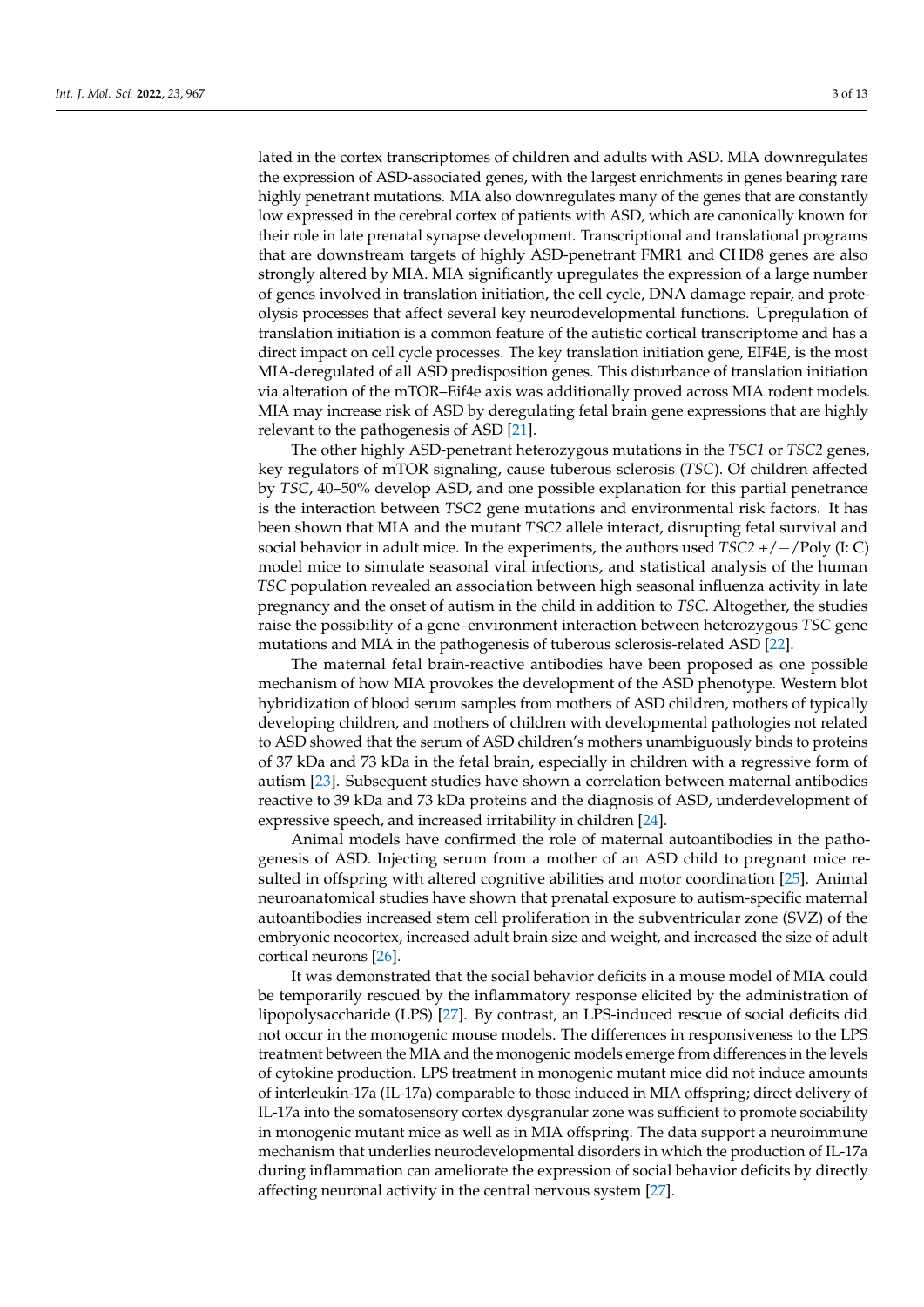lated in the cortex transcriptomes of children and adults with ASD. MIA downregulates the expression of ASD-associated genes, with the largest enrichments in genes bearing rare highly penetrant mutations. MIA also downregulates many of the genes that are constantly low expressed in the cerebral cortex of patients with ASD, which are canonically known for their role in late prenatal synapse development. Transcriptional and translational programs that are downstream targets of highly ASD-penetrant FMR1 and CHD8 genes are also strongly altered by MIA. MIA significantly upregulates the expression of a large number of genes involved in translation initiation, the cell cycle, DNA damage repair, and proteolysis processes that affect several key neurodevelopmental functions. Upregulation of translation initiation is a common feature of the autistic cortical transcriptome and has a direct impact on cell cycle processes. The key translation initiation gene, EIF4E, is the most MIA-deregulated of all ASD predisposition genes. This disturbance of translation initiation via alteration of the mTOR–Eif4e axis was additionally proved across MIA rodent models. MIA may increase risk of ASD by deregulating fetal brain gene expressions that are highly relevant to the pathogenesis of ASD [\[21\]](#page-10-12).

The other highly ASD-penetrant heterozygous mutations in the *TSC1* or *TSC2* genes, key regulators of mTOR signaling, cause tuberous sclerosis (*TSC*). Of children affected by *TSC*, 40–50% develop ASD, and one possible explanation for this partial penetrance is the interaction between *TSC2* gene mutations and environmental risk factors. It has been shown that MIA and the mutant *TSC2* allele interact, disrupting fetal survival and social behavior in adult mice. In the experiments, the authors used *TSC2* +/−/Poly (I: C) model mice to simulate seasonal viral infections, and statistical analysis of the human *TSC* population revealed an association between high seasonal influenza activity in late pregnancy and the onset of autism in the child in addition to *TSC*. Altogether, the studies raise the possibility of a gene–environment interaction between heterozygous *TSC* gene mutations and MIA in the pathogenesis of tuberous sclerosis-related ASD [\[22\]](#page-10-13).

The maternal fetal brain-reactive antibodies have been proposed as one possible mechanism of how MIA provokes the development of the ASD phenotype. Western blot hybridization of blood serum samples from mothers of ASD children, mothers of typically developing children, and mothers of children with developmental pathologies not related to ASD showed that the serum of ASD children's mothers unambiguously binds to proteins of 37 kDa and 73 kDa in the fetal brain, especially in children with a regressive form of autism [\[23\]](#page-10-14). Subsequent studies have shown a correlation between maternal antibodies reactive to 39 kDa and 73 kDa proteins and the diagnosis of ASD, underdevelopment of expressive speech, and increased irritability in children [\[24\]](#page-10-15).

Animal models have confirmed the role of maternal autoantibodies in the pathogenesis of ASD. Injecting serum from a mother of an ASD child to pregnant mice resulted in offspring with altered cognitive abilities and motor coordination [\[25\]](#page-10-16). Animal neuroanatomical studies have shown that prenatal exposure to autism-specific maternal autoantibodies increased stem cell proliferation in the subventricular zone (SVZ) of the embryonic neocortex, increased adult brain size and weight, and increased the size of adult cortical neurons [\[26\]](#page-10-17).

It was demonstrated that the social behavior deficits in a mouse model of MIA could be temporarily rescued by the inflammatory response elicited by the administration of lipopolysaccharide (LPS) [\[27\]](#page-10-18). By contrast, an LPS-induced rescue of social deficits did not occur in the monogenic mouse models. The differences in responsiveness to the LPS treatment between the MIA and the monogenic models emerge from differences in the levels of cytokine production. LPS treatment in monogenic mutant mice did not induce amounts of interleukin-17a (IL-17a) comparable to those induced in MIA offspring; direct delivery of IL-17a into the somatosensory cortex dysgranular zone was sufficient to promote sociability in monogenic mutant mice as well as in MIA offspring. The data support a neuroimmune mechanism that underlies neurodevelopmental disorders in which the production of IL-17a during inflammation can ameliorate the expression of social behavior deficits by directly affecting neuronal activity in the central nervous system [\[27\]](#page-10-18).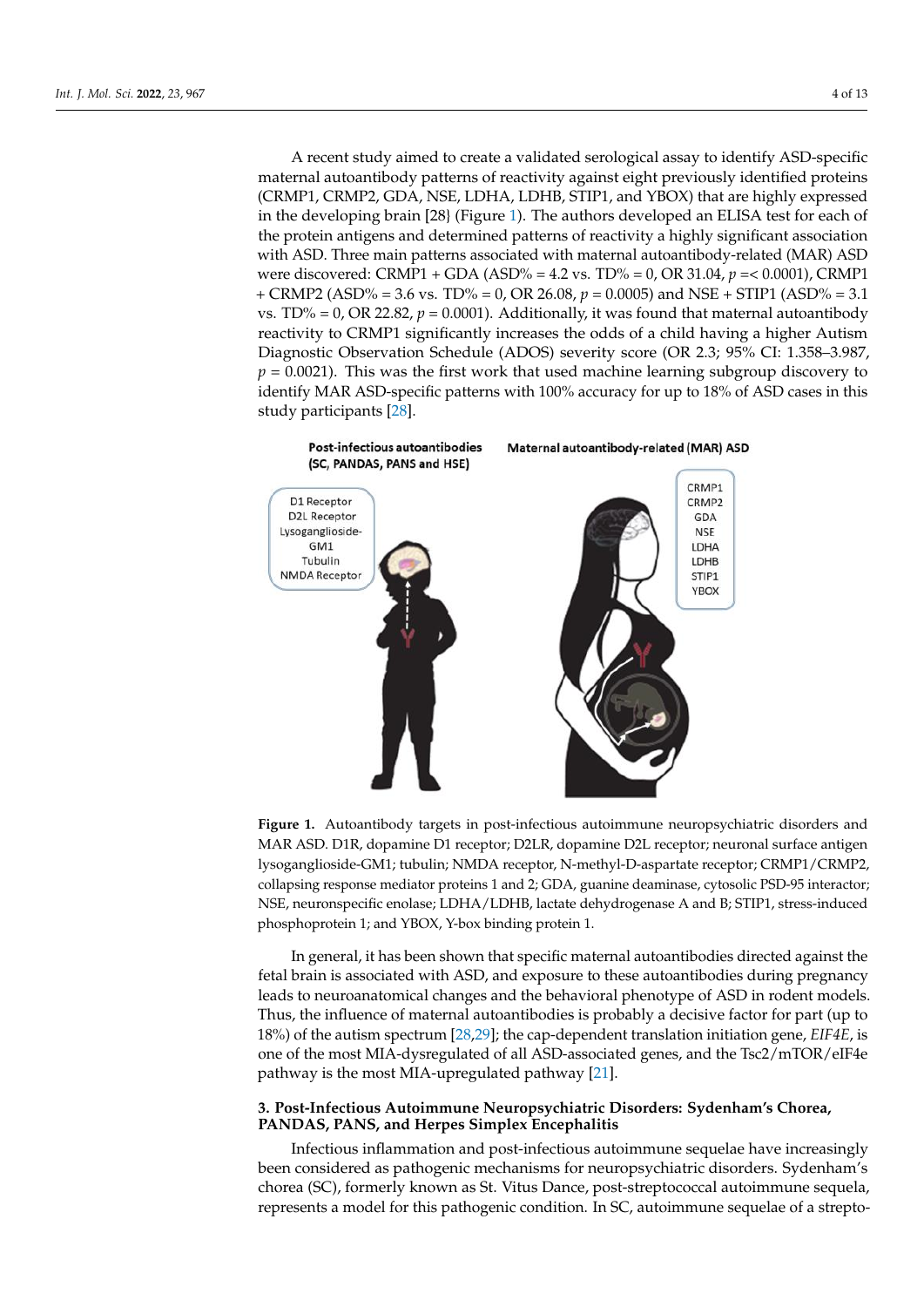A recent study aimed to create a validated serological assay to identify ASD-specific maternal autoantibody patterns of reactivity against eight previously identified proteins (CRMP) that are highly expressed to the highly expressed to the highly expressed to the higher state of the highly expressed to the  $(CRMP1, CRMP2, GDA, NSE, LDHA, LDHB, STIP1, and YBOX)$  that are highly expressed in the developing brain [28] (Figure [1\)](#page-3-0). The authors developed an ELISA test for each of the protein antigens and determined patterns of reactivity a highly significant association<br>with ASD. Three main patterns association with ASD. Three main patterns associated with maternal autoantibody-related (MAR) ASD<br>ASD were discovered: CRMP1 + GDA (ASD% = 4.2 vs. TD% = 0, OR 31.04, *p* = 0.0001), GRMP1 were discovered: CRMP1 + GDA (ASD% = 4.2 vs. TD% = 0, OR 31.04, *p* =< 0.0001), CRMP1  $+$  CRMP2 (ASD% = 3.6 vs. TD% = 0, OR 26.08, *p* = 0.0005) and NSE + STIP1 (ASD% = 3.1 vs. TD% = 0, OR 22.82,  $p = 0.0001$ ). Additionally, it was found that maternal autoantibody  $T_{\text{tot}}$  reactivity to CRMP1 significantly increases the odds of a child having a higher Autism Diagnostic Observation Schedule (ADOS) severity score (OR 2.3; 95% CI: 1.358–3.987, Autism Diagnostic Observation Schedule (ADOS) severity score (OR 2.3; 95% CI: 1.358–  $p = 0.0021$ ). This was the first work that used machine learning subgroup discovery to identify MAR ASD-specific patterns with  $100\%$  accuracy for up to 18% of ASD cases in this study participants  $\begin{bmatrix} 28 \end{bmatrix}$ . A recent study aimed to create a validated serological associated serological assay to identify  $A$ 

<span id="page-3-0"></span>

Figure 1. Autoantibody targets in post-infectious autoimmune neuropsychiatric disorders and MAR ASD. D1R, dopamine D1 receptor; D2LR, dopamine D2L receptor; neuronal surface antigen  $\frac{1}{100}$  receptors  $\frac{1}{100}$ ;  $\frac{1}{100}$  receptor,  $\frac{1}{100}$ ,  $\frac{1}{100}$ ,  $\frac{1}{100}$ ,  $\frac{1}{100}$ ,  $\frac{1}{100}$ ,  $\frac{1}{100}$ ,  $\frac{1}{100}$ ,  $\frac{1}{100}$ ,  $\frac{1}{100}$ ,  $\frac{1}{100}$ ,  $\frac{1}{100}$ ,  $\frac{1}{100}$ ,  $\frac{1}{10$ lysoganglioside-GM1; tubulin; NMDA receptor, N-methyl-D-aspartate receptor; CRMP1/CRMP2, collapsing response mediator proteins 1 and 2; GDA, guanine deaminase, cytosolic PSD-95 interactor; NSE, neuronspecific enolase; LDHA/LDHB, lactate dehydrogenase A and B; STIP1, stress-induced phosphoprotein 1; and YBOX, Y-box binding protein 1.

In general, it has been shown that specific maternal autoantibodies directed against In general, it has been shown that specific maternal autoantibodies directed against the It general, it has been shown that speeme material dureantibodies during pregnancy fetal brain is associated with ASD, and exposure to these autoantibodies during pregnancy nancy leads to neuroanatomical changes and the behavioral phenotype of ASD in rodent leads to neuroanatomical changes and the behavioral phenotype of ASD in rodent models. models. Thus, the influence of maternal autoantibodies is probably a decisive factor for Thus, the influence of maternal autoantibodies is probably a decisive factor for part (up to part (up to 18%) of the autism spectrum [28,29]; the cap-dependent translation initiation 18%) of the autism spectrum [\[28,](#page-10-19)[29\]](#page-10-20); the cap-dependent translation initiation gene, *EIF4E*, is one of the most MIA-dysregulated of all ASD-associated genes, and the Tsc2/mTOR/eIF4e pathway is the most MIA-upregulated pathway [\[21\]](#page-10-12).

# **3. Post-Infectious Autoimmune Neuropsychiatric Disorders: Sydenham's Chorea, 3. Post-Infectious Autoimmune Neuropsychiatric Disorders: Sydenham's Chorea, PANDAS, PANS, and Herpes Simplex Encephalitis PANDAS, PANS, and Herpes Simplex Encephalitis**

Infectious inflammation and post-infectious autoimmune sequelae have increasingly been considered as pathogenic mechanisms for neuropsychiatric disorders. Sydenham's chorea (SC), formerly known as St. Vitus Dance, post-streptococcal autoimmune sequela, represents a model for this pathogenic condition. In SC, autoimmune sequelae of a strepto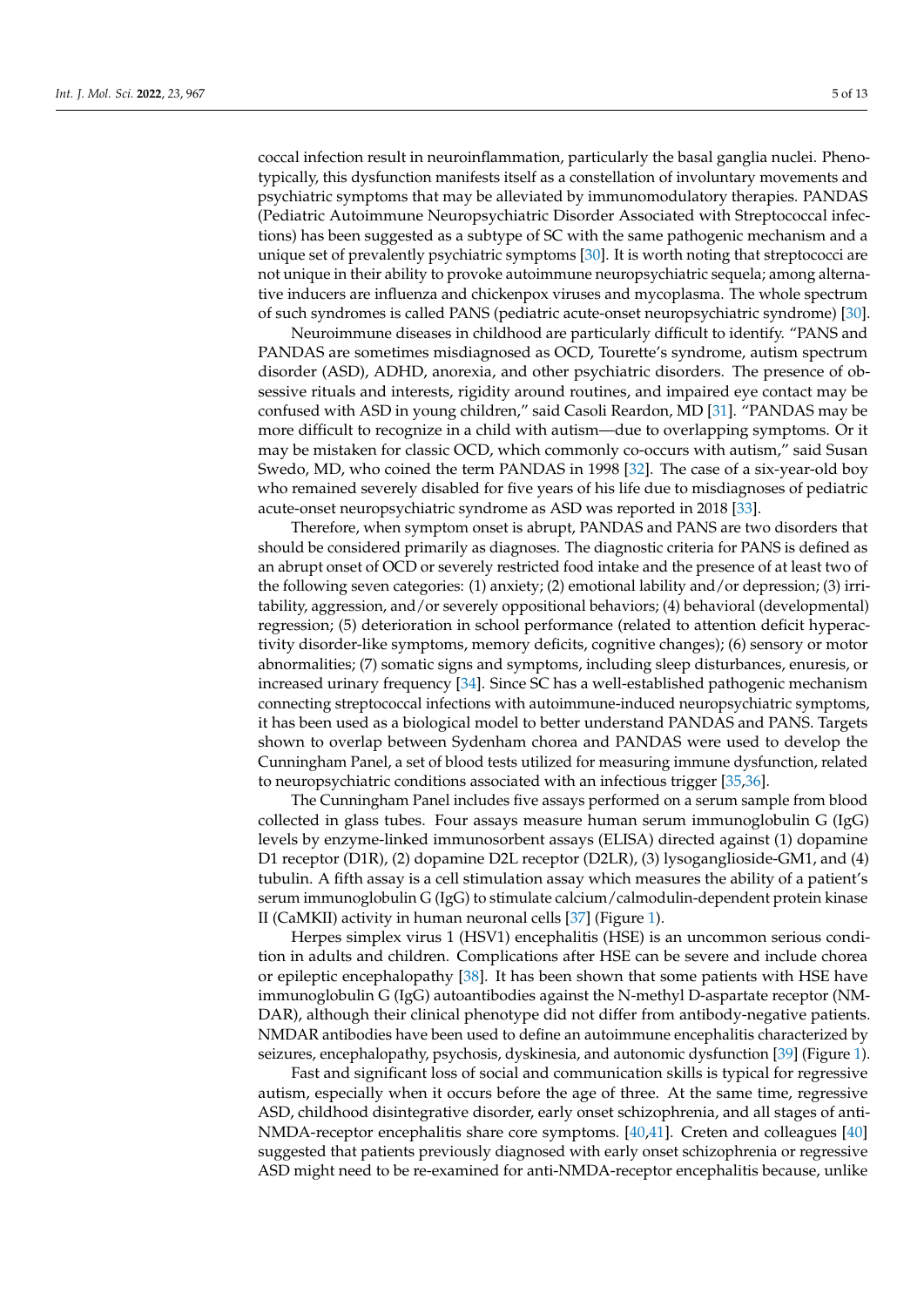coccal infection result in neuroinflammation, particularly the basal ganglia nuclei. Phenotypically, this dysfunction manifests itself as a constellation of involuntary movements and psychiatric symptoms that may be alleviated by immunomodulatory therapies. PANDAS (Pediatric Autoimmune Neuropsychiatric Disorder Associated with Streptococcal infections) has been suggested as a subtype of SC with the same pathogenic mechanism and a unique set of prevalently psychiatric symptoms [\[30\]](#page-10-21). It is worth noting that streptococci are not unique in their ability to provoke autoimmune neuropsychiatric sequela; among alternative inducers are influenza and chickenpox viruses and mycoplasma. The whole spectrum of such syndromes is called PANS (pediatric acute-onset neuropsychiatric syndrome) [\[30\]](#page-10-21).

Neuroimmune diseases in childhood are particularly difficult to identify. "PANS and PANDAS are sometimes misdiagnosed as OCD, Tourette's syndrome, autism spectrum disorder (ASD), ADHD, anorexia, and other psychiatric disorders. The presence of obsessive rituals and interests, rigidity around routines, and impaired eye contact may be confused with ASD in young children," said Casoli Reardon, MD [\[31\]](#page-10-22). "PANDAS may be more difficult to recognize in a child with autism—due to overlapping symptoms. Or it may be mistaken for classic OCD, which commonly co-occurs with autism," said Susan Swedo, MD, who coined the term PANDAS in 1998 [\[32\]](#page-10-23). The case of a six-year-old boy who remained severely disabled for five years of his life due to misdiagnoses of pediatric acute-onset neuropsychiatric syndrome as ASD was reported in 2018 [\[33\]](#page-11-0).

Therefore, when symptom onset is abrupt, PANDAS and PANS are two disorders that should be considered primarily as diagnoses. The diagnostic criteria for PANS is defined as an abrupt onset of OCD or severely restricted food intake and the presence of at least two of the following seven categories: (1) anxiety; (2) emotional lability and/or depression; (3) irritability, aggression, and/or severely oppositional behaviors; (4) behavioral (developmental) regression; (5) deterioration in school performance (related to attention deficit hyperactivity disorder-like symptoms, memory deficits, cognitive changes); (6) sensory or motor abnormalities; (7) somatic signs and symptoms, including sleep disturbances, enuresis, or increased urinary frequency [\[34\]](#page-11-1). Since SC has a well-established pathogenic mechanism connecting streptococcal infections with autoimmune-induced neuropsychiatric symptoms, it has been used as a biological model to better understand PANDAS and PANS. Targets shown to overlap between Sydenham chorea and PANDAS were used to develop the Cunningham Panel, a set of blood tests utilized for measuring immune dysfunction, related to neuropsychiatric conditions associated with an infectious trigger [\[35](#page-11-2)[,36\]](#page-11-3).

The Cunningham Panel includes five assays performed on a serum sample from blood collected in glass tubes. Four assays measure human serum immunoglobulin G (IgG) levels by enzyme-linked immunosorbent assays (ELISA) directed against (1) dopamine D1 receptor (D1R), (2) dopamine D2L receptor (D2LR), (3) lysoganglioside-GM1, and (4) tubulin. A fifth assay is a cell stimulation assay which measures the ability of a patient's serum immunoglobulin G (IgG) to stimulate calcium/calmodulin-dependent protein kinase II (CaMKII) activity in human neuronal cells [\[37\]](#page-11-4) (Figure [1\)](#page-3-0).

Herpes simplex virus 1 (HSV1) encephalitis (HSE) is an uncommon serious condition in adults and children. Complications after HSE can be severe and include chorea or epileptic encephalopathy [\[38\]](#page-11-5). It has been shown that some patients with HSE have immunoglobulin G (IgG) autoantibodies against the N-methyl D-aspartate receptor (NM-DAR), although their clinical phenotype did not differ from antibody-negative patients. NMDAR antibodies have been used to define an autoimmune encephalitis characterized by seizures, encephalopathy, psychosis, dyskinesia, and autonomic dysfunction [\[39\]](#page-11-6) (Figure [1\)](#page-3-0).

Fast and significant loss of social and communication skills is typical for regressive autism, especially when it occurs before the age of three. At the same time, regressive ASD, childhood disintegrative disorder, early onset schizophrenia, and all stages of anti-NMDA-receptor encephalitis share core symptoms. [\[40](#page-11-7)[,41\]](#page-11-8). Creten and colleagues [\[40\]](#page-11-7) suggested that patients previously diagnosed with early onset schizophrenia or regressive ASD might need to be re-examined for anti-NMDA-receptor encephalitis because, unlike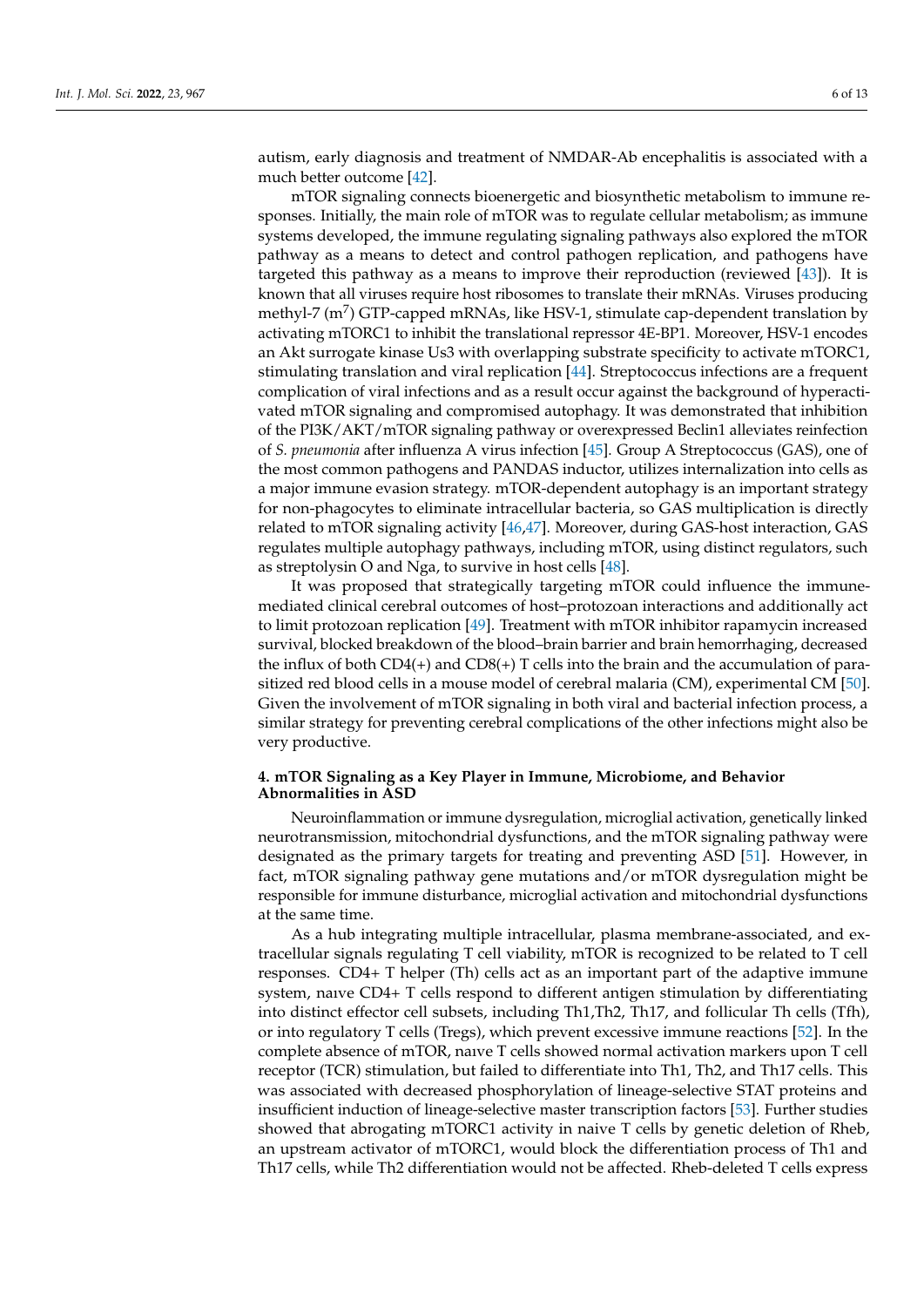autism, early diagnosis and treatment of NMDAR-Ab encephalitis is associated with a much better outcome [\[42\]](#page-11-9).

mTOR signaling connects bioenergetic and biosynthetic metabolism to immune responses. Initially, the main role of mTOR was to regulate cellular metabolism; as immune systems developed, the immune regulating signaling pathways also explored the mTOR pathway as a means to detect and control pathogen replication, and pathogens have targeted this pathway as a means to improve their reproduction (reviewed [\[43\]](#page-11-10)). It is known that all viruses require host ribosomes to translate their mRNAs. Viruses producing methyl-7 (m<sup>7</sup>) GTP-capped mRNAs, like HSV-1, stimulate cap-dependent translation by activating mTORC1 to inhibit the translational repressor 4E-BP1. Moreover, HSV-1 encodes an Akt surrogate kinase Us3 with overlapping substrate specificity to activate mTORC1, stimulating translation and viral replication [\[44\]](#page-11-11). Streptococcus infections are a frequent complication of viral infections and as a result occur against the background of hyperactivated mTOR signaling and compromised autophagy. It was demonstrated that inhibition of the PI3K/AKT/mTOR signaling pathway or overexpressed Beclin1 alleviates reinfection of *S. pneumonia* after influenza A virus infection [\[45\]](#page-11-12). Group A Streptococcus (GAS), one of the most common pathogens and PANDAS inductor, utilizes internalization into cells as a major immune evasion strategy. mTOR-dependent autophagy is an important strategy for non-phagocytes to eliminate intracellular bacteria, so GAS multiplication is directly related to mTOR signaling activity [\[46](#page-11-13)[,47\]](#page-11-14). Moreover, during GAS-host interaction, GAS regulates multiple autophagy pathways, including mTOR, using distinct regulators, such as streptolysin O and Nga, to survive in host cells [\[48\]](#page-11-15).

It was proposed that strategically targeting mTOR could influence the immunemediated clinical cerebral outcomes of host–protozoan interactions and additionally act to limit protozoan replication [\[49\]](#page-11-16). Treatment with mTOR inhibitor rapamycin increased survival, blocked breakdown of the blood–brain barrier and brain hemorrhaging, decreased the influx of both  $CD4(+)$  and  $CD8(+)$  T cells into the brain and the accumulation of parasitized red blood cells in a mouse model of cerebral malaria (CM), experimental CM [\[50\]](#page-11-17). Given the involvement of mTOR signaling in both viral and bacterial infection process, a similar strategy for preventing cerebral complications of the other infections might also be very productive.

## **4. mTOR Signaling as a Key Player in Immune, Microbiome, and Behavior Abnormalities in ASD**

Neuroinflammation or immune dysregulation, microglial activation, genetically linked neurotransmission, mitochondrial dysfunctions, and the mTOR signaling pathway were designated as the primary targets for treating and preventing ASD [\[51\]](#page-11-18). However, in fact, mTOR signaling pathway gene mutations and/or mTOR dysregulation might be responsible for immune disturbance, microglial activation and mitochondrial dysfunctions at the same time.

As a hub integrating multiple intracellular, plasma membrane-associated, and extracellular signals regulating T cell viability, mTOR is recognized to be related to T cell responses. CD4+ T helper (Th) cells act as an important part of the adaptive immune system, naıve CD4+ T cells respond to different antigen stimulation by differentiating into distinct effector cell subsets, including Th1,Th2, Th17, and follicular Th cells (Tfh), or into regulatory T cells (Tregs), which prevent excessive immune reactions [\[52\]](#page-11-19). In the complete absence of mTOR, naıve T cells showed normal activation markers upon T cell receptor (TCR) stimulation, but failed to differentiate into Th1, Th2, and Th17 cells. This was associated with decreased phosphorylation of lineage-selective STAT proteins and insufficient induction of lineage-selective master transcription factors [\[53\]](#page-11-20). Further studies showed that abrogating mTORC1 activity in naive T cells by genetic deletion of Rheb, an upstream activator of mTORC1, would block the differentiation process of Th1 and Th17 cells, while Th2 differentiation would not be affected. Rheb-deleted T cells express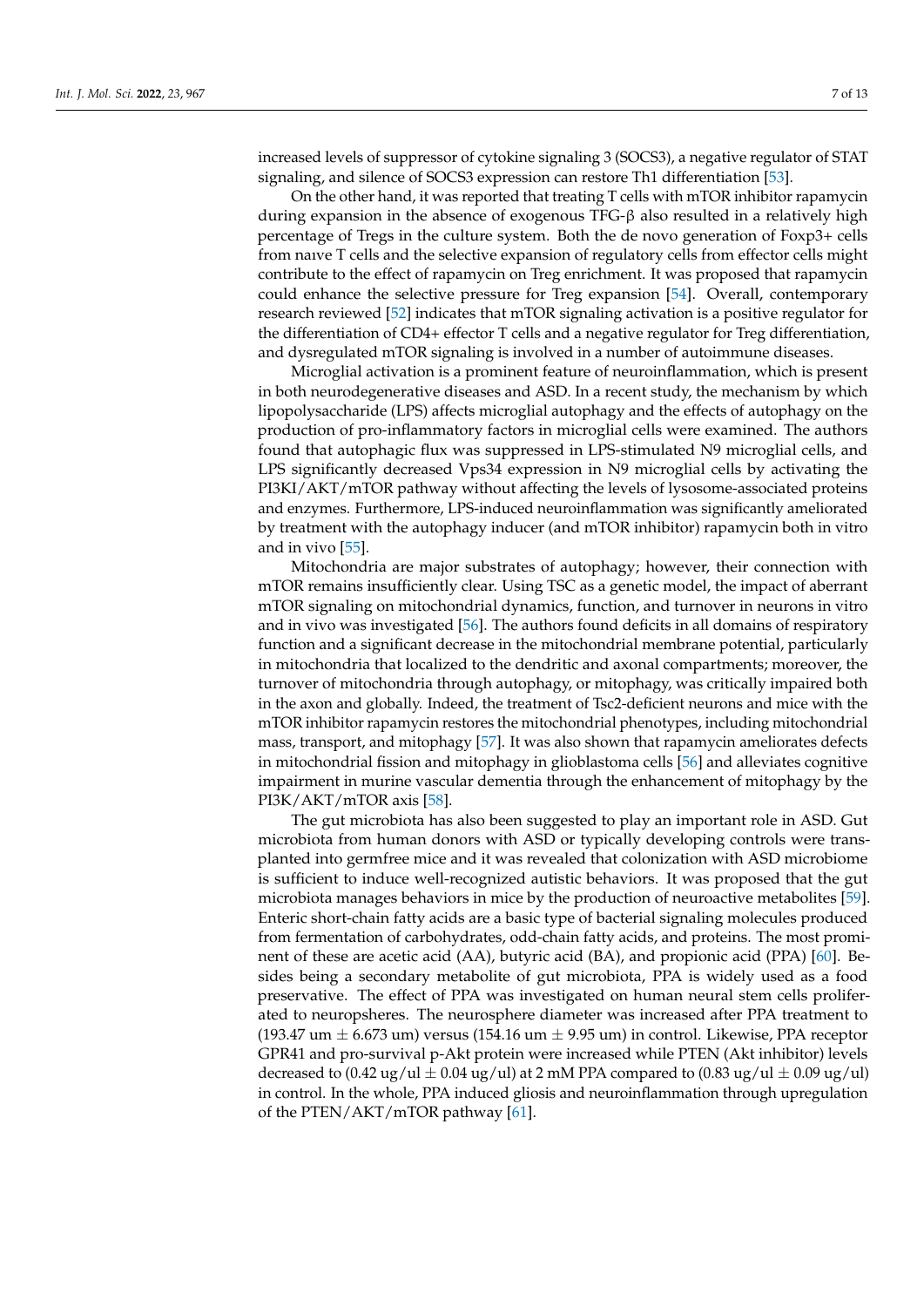increased levels of suppressor of cytokine signaling 3 (SOCS3), a negative regulator of STAT signaling, and silence of SOCS3 expression can restore Th1 differentiation [\[53\]](#page-11-20).

On the other hand, it was reported that treating T cells with mTOR inhibitor rapamycin during expansion in the absence of exogenous TFG-β also resulted in a relatively high percentage of Tregs in the culture system. Both the de novo generation of Foxp3+ cells from naıve T cells and the selective expansion of regulatory cells from effector cells might contribute to the effect of rapamycin on Treg enrichment. It was proposed that rapamycin could enhance the selective pressure for Treg expansion [\[54\]](#page-11-21). Overall, contemporary research reviewed [\[52\]](#page-11-19) indicates that mTOR signaling activation is a positive regulator for the differentiation of CD4+ effector T cells and a negative regulator for Treg differentiation, and dysregulated mTOR signaling is involved in a number of autoimmune diseases.

Microglial activation is a prominent feature of neuroinflammation, which is present in both neurodegenerative diseases and ASD. In a recent study, the mechanism by which lipopolysaccharide (LPS) affects microglial autophagy and the effects of autophagy on the production of pro-inflammatory factors in microglial cells were examined. The authors found that autophagic flux was suppressed in LPS-stimulated N9 microglial cells, and LPS significantly decreased Vps34 expression in N9 microglial cells by activating the PI3KI/AKT/mTOR pathway without affecting the levels of lysosome-associated proteins and enzymes. Furthermore, LPS-induced neuroinflammation was significantly ameliorated by treatment with the autophagy inducer (and mTOR inhibitor) rapamycin both in vitro and in vivo [\[55\]](#page-11-22).

Mitochondria are major substrates of autophagy; however, their connection with mTOR remains insufficiently clear. Using TSC as a genetic model, the impact of aberrant mTOR signaling on mitochondrial dynamics, function, and turnover in neurons in vitro and in vivo was investigated [\[56\]](#page-11-23). The authors found deficits in all domains of respiratory function and a significant decrease in the mitochondrial membrane potential, particularly in mitochondria that localized to the dendritic and axonal compartments; moreover, the turnover of mitochondria through autophagy, or mitophagy, was critically impaired both in the axon and globally. Indeed, the treatment of Tsc2-deficient neurons and mice with the mTOR inhibitor rapamycin restores the mitochondrial phenotypes, including mitochondrial mass, transport, and mitophagy [\[57\]](#page-12-0). It was also shown that rapamycin ameliorates defects in mitochondrial fission and mitophagy in glioblastoma cells [\[56\]](#page-11-23) and alleviates cognitive impairment in murine vascular dementia through the enhancement of mitophagy by the PI3K/AKT/mTOR axis [\[58\]](#page-12-1).

The gut microbiota has also been suggested to play an important role in ASD. Gut microbiota from human donors with ASD or typically developing controls were transplanted into germfree mice and it was revealed that colonization with ASD microbiome is sufficient to induce well-recognized autistic behaviors. It was proposed that the gut microbiota manages behaviors in mice by the production of neuroactive metabolites [\[59\]](#page-12-2). Enteric short-chain fatty acids are a basic type of bacterial signaling molecules produced from fermentation of carbohydrates, odd-chain fatty acids, and proteins. The most prominent of these are acetic acid (AA), butyric acid (BA), and propionic acid (PPA) [\[60\]](#page-12-3). Besides being a secondary metabolite of gut microbiota, PPA is widely used as a food preservative. The effect of PPA was investigated on human neural stem cells proliferated to neuropsheres. The neurosphere diameter was increased after PPA treatment to (193.47 um  $\pm$  6.673 um) versus (154.16 um  $\pm$  9.95 um) in control. Likewise, PPA receptor GPR41 and pro-survival p-Akt protein were increased while PTEN (Akt inhibitor) levels decreased to  $(0.42 \text{ ug}/\text{ul} \pm 0.04 \text{ ug}/\text{ul})$  at 2 mM PPA compared to  $(0.83 \text{ ug}/\text{ul} \pm 0.09 \text{ ug}/\text{ul})$ in control. In the whole, PPA induced gliosis and neuroinflammation through upregulation of the PTEN/AKT/mTOR pathway [\[61\]](#page-12-4).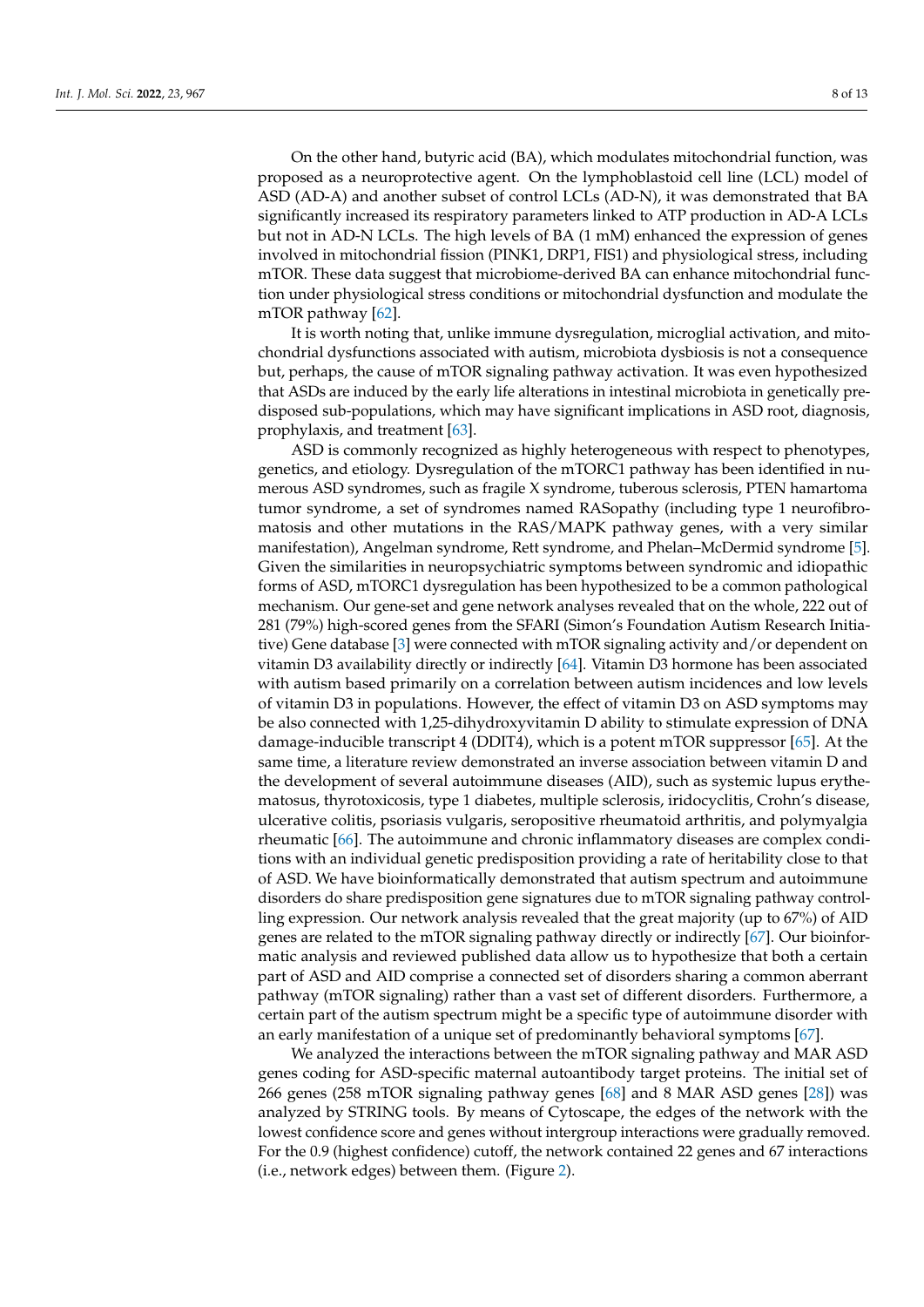On the other hand, butyric acid (BA), which modulates mitochondrial function, was proposed as a neuroprotective agent. On the lymphoblastoid cell line (LCL) model of ASD (AD-A) and another subset of control LCLs (AD-N), it was demonstrated that BA significantly increased its respiratory parameters linked to ATP production in AD-A LCLs but not in AD-N LCLs. The high levels of BA (1 mM) enhanced the expression of genes involved in mitochondrial fission (PINK1, DRP1, FIS1) and physiological stress, including mTOR. These data suggest that microbiome-derived BA can enhance mitochondrial function under physiological stress conditions or mitochondrial dysfunction and modulate the mTOR pathway [\[62\]](#page-12-5).

It is worth noting that, unlike immune dysregulation, microglial activation, and mitochondrial dysfunctions associated with autism, microbiota dysbiosis is not a consequence but, perhaps, the cause of mTOR signaling pathway activation. It was even hypothesized that ASDs are induced by the early life alterations in intestinal microbiota in genetically predisposed sub-populations, which may have significant implications in ASD root, diagnosis, prophylaxis, and treatment [\[63\]](#page-12-6).

ASD is commonly recognized as highly heterogeneous with respect to phenotypes, genetics, and etiology. Dysregulation of the mTORC1 pathway has been identified in numerous ASD syndromes, such as fragile X syndrome, tuberous sclerosis, PTEN hamartoma tumor syndrome, a set of syndromes named RASopathy (including type 1 neurofibromatosis and other mutations in the RAS/MAPK pathway genes, with a very similar manifestation), Angelman syndrome, Rett syndrome, and Phelan–McDermid syndrome [\[5\]](#page-9-4). Given the similarities in neuropsychiatric symptoms between syndromic and idiopathic forms of ASD, mTORC1 dysregulation has been hypothesized to be a common pathological mechanism. Our gene-set and gene network analyses revealed that on the whole, 222 out of 281 (79%) high-scored genes from the SFARI (Simon's Foundation Autism Research Initiative) Gene database [\[3\]](#page-9-2) were connected with mTOR signaling activity and/or dependent on vitamin D3 availability directly or indirectly [\[64\]](#page-12-7). Vitamin D3 hormone has been associated with autism based primarily on a correlation between autism incidences and low levels of vitamin D3 in populations. However, the effect of vitamin D3 on ASD symptoms may be also connected with 1,25-dihydroxyvitamin D ability to stimulate expression of DNA damage-inducible transcript 4 (DDIT4), which is a potent mTOR suppressor [\[65\]](#page-12-8). At the same time, a literature review demonstrated an inverse association between vitamin D and the development of several autoimmune diseases (AID), such as systemic lupus erythematosus, thyrotoxicosis, type 1 diabetes, multiple sclerosis, iridocyclitis, Crohn's disease, ulcerative colitis, psoriasis vulgaris, seropositive rheumatoid arthritis, and polymyalgia rheumatic [\[66\]](#page-12-9). The autoimmune and chronic inflammatory diseases are complex conditions with an individual genetic predisposition providing a rate of heritability close to that of ASD. We have bioinformatically demonstrated that autism spectrum and autoimmune disorders do share predisposition gene signatures due to mTOR signaling pathway controlling expression. Our network analysis revealed that the great majority (up to 67%) of AID genes are related to the mTOR signaling pathway directly or indirectly [\[67\]](#page-12-10). Our bioinformatic analysis and reviewed published data allow us to hypothesize that both a certain part of ASD and AID comprise a connected set of disorders sharing a common aberrant pathway (mTOR signaling) rather than a vast set of different disorders. Furthermore, a certain part of the autism spectrum might be a specific type of autoimmune disorder with an early manifestation of a unique set of predominantly behavioral symptoms [\[67\]](#page-12-10).

We analyzed the interactions between the mTOR signaling pathway and MAR ASD genes coding for ASD-specific maternal autoantibody target proteins. The initial set of 266 genes (258 mTOR signaling pathway genes [\[68\]](#page-12-11) and 8 MAR ASD genes [\[28\]](#page-10-19)) was analyzed by STRING tools. By means of Cytoscape, the edges of the network with the lowest confidence score and genes without intergroup interactions were gradually removed. For the 0.9 (highest confidence) cutoff, the network contained 22 genes and 67 interactions (i.e., network edges) between them. (Figure [2\)](#page-8-0).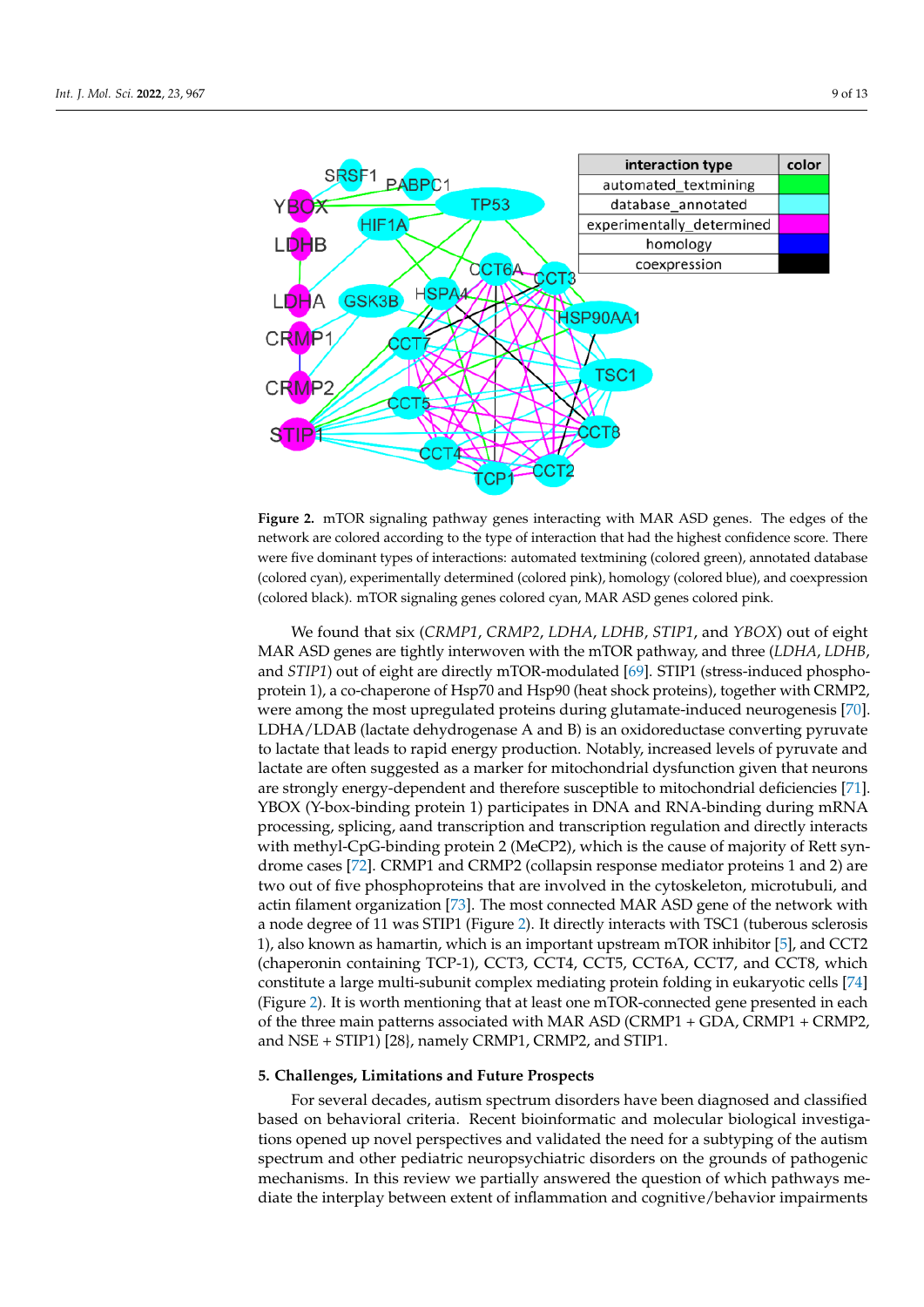<span id="page-8-0"></span>

Figure 2. mTOR signaling pathway genes interacting with MAR ASD genes. The edges of the work are colored according to the type of interaction that had the highest confidence score. There network are colored according to the type of interaction that had the highest confidence score. There were five dominant types of interactions: automated textmining (colored green), annotated database were five dominant types of interactions: automated textmining (colored green), annotated database  $(\epsilon_{\text{obs}})$  and  $(\epsilon_{\text{obs}})$  and  $(\epsilon_{\text{obs}})$  and  $(\epsilon_{\text{obs}})$  and  $(\epsilon_{\text{obs}})$  and  $(\epsilon_{\text{obs}})$  and comparison  $(\epsilon_{\text{obs}})$  and comparison (colored cyan), experimentally determined (colored pink), homology (colored blue), and coexpression<br>(colored blue, l) (colored black). mTOR signaling genes colored cyan, MAR ASD genes colored pink.

We found that six (CRMP1, CRMP2, LDHA, LDHB, STIP1, and YBOX) out of eight MAR ASD genes are tightly interwoven with the mTOR pathway, and three (*LDHA*, MAR ASD genes are tightly interwoven with the mTOR pathway, and three (*LDHA*, *LDHB*, and *STIP1*) out of eight are directly mTOR-modulated [\[69\]](#page-12-12). STIP1 (stress-induced phosphoprotein 1), a co-chaperone of Hsp70 and Hsp90 (heat shock proteins), together with CRMP2, were among the most upregulated proteins during glutamate-induced neurogenesis [\[70\]](#page-12-13). LDHA/LDAB (lactate dehydrogenase A and B) is an oxidoreductase converting pyruvate to lactate that leads to rapid energy production. Notably, increased levels of pyruvate and lactate are often suggested as a marker for mitochondrial dysfunction given that neurons are strongly energy-dependent and therefore susceptible to mito[chon](#page-12-14)drial deficiencies [71]. YBOX (Y-box-binding protein 1) participates in DNA and RNA-binding during mRNA processing, splicing, aand transcription and transcription regulation and directly interacts with methyl-CpG-binding protein 2 (MeCP2), which is the cause of majority of Rett syndrome cases [72]. CRMP1 and CRMP2 (collapsin response mediator proteins 1 and 2) are two out of five phosphoproteins that are involved in the cytoskeleton, microtubuli, and actin filament organization [\[73\]](#page-12-16). The most connected MAR ASD gene of the network with a nod[e d](#page-8-0)egree of 11 was STIP1 (Figure 2). It directly interacts with TSC1 (tuberous sclerosis 1), also known as hamartin, which is an important upstream mTOR inhibitor [\[5\]](#page-9-4), and CCT2 (chaperonin containing TCP-1), CCT3, CCT4, CCT5, CCT6A, CCT7, and CCT8, which constitute a large multi-subunit complex mediating protein folding in eukaryotic cells [\[74\]](#page-12-17) (Figure 2). It is worth mentioning that at least one mTOR-connected gene presented in each of the three main patterns associated with MAR ASD (CRMP1 + GDA, CRMP1 + CRMP2, and NSE + STIP1) [28], namely CRMP1, CRMP2, and STIP1.

# **5. Challenges, Limitations and Future Prospects**

For several decades, autism spectrum disorders have been diagnosed and classified based on behavioral criteria. Recent bioinformatic and molecular biological investiga-<br>tions enemed un nevel newspectives and validated the need for a subtyping of the sution spectrum and other pediatric neuropsychiatric disorders on the grounds of pathogenic spectrum and other pediatric neuropsychiatric disorders on the grounds of pathogenic tions opened up novel perspectives and validated the need for a subtyping of the autism mechanisms. In this review we partially answered the question of which pathways mediate the interplay between extent of inflammation and cognitive/behavior impairments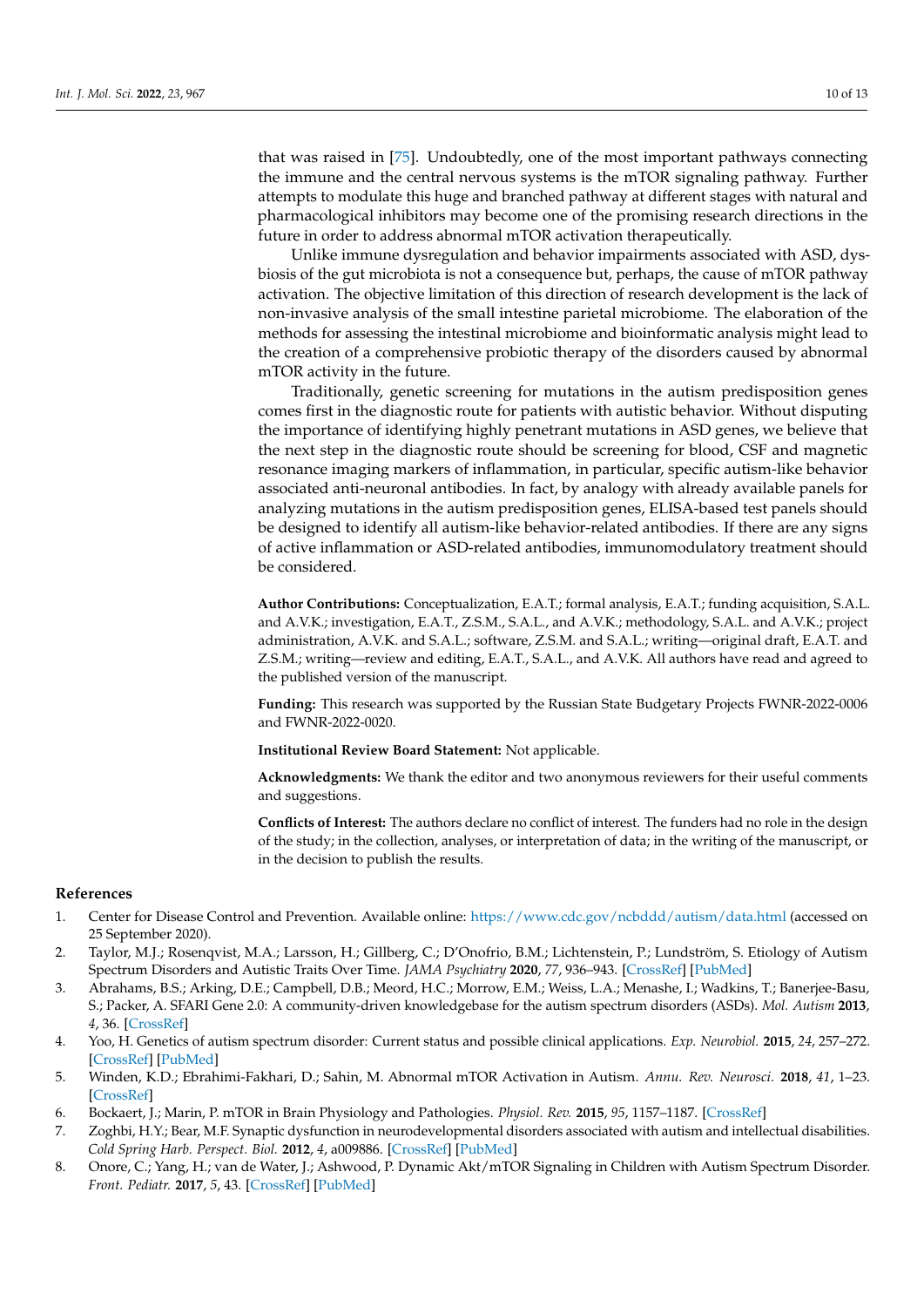that was raised in [\[75\]](#page-12-18). Undoubtedly, one of the most important pathways connecting the immune and the central nervous systems is the mTOR signaling pathway. Further attempts to modulate this huge and branched pathway at different stages with natural and pharmacological inhibitors may become one of the promising research directions in the future in order to address abnormal mTOR activation therapeutically.

Unlike immune dysregulation and behavior impairments associated with ASD, dysbiosis of the gut microbiota is not a consequence but, perhaps, the cause of mTOR pathway activation. The objective limitation of this direction of research development is the lack of non-invasive analysis of the small intestine parietal microbiome. The elaboration of the methods for assessing the intestinal microbiome and bioinformatic analysis might lead to the creation of a comprehensive probiotic therapy of the disorders caused by abnormal mTOR activity in the future.

Traditionally, genetic screening for mutations in the autism predisposition genes comes first in the diagnostic route for patients with autistic behavior. Without disputing the importance of identifying highly penetrant mutations in ASD genes, we believe that the next step in the diagnostic route should be screening for blood, CSF and magnetic resonance imaging markers of inflammation, in particular, specific autism-like behavior associated anti-neuronal antibodies. In fact, by analogy with already available panels for analyzing mutations in the autism predisposition genes, ELISA-based test panels should be designed to identify all autism-like behavior-related antibodies. If there are any signs of active inflammation or ASD-related antibodies, immunomodulatory treatment should be considered.

**Author Contributions:** Conceptualization, E.A.T.; formal analysis, E.A.T.; funding acquisition, S.A.L. and A.V.K.; investigation, E.A.T., Z.S.M., S.A.L., and A.V.K.; methodology, S.A.L. and A.V.K.; project administration, A.V.K. and S.A.L.; software, Z.S.M. and S.A.L.; writing—original draft, E.A.T. and Z.S.M.; writing—review and editing, E.A.T., S.A.L., and A.V.K. All authors have read and agreed to the published version of the manuscript.

**Funding:** This research was supported by the Russian State Budgetary Projects FWNR-2022-0006 and FWNR-2022-0020.

**Institutional Review Board Statement:** Not applicable.

**Acknowledgments:** We thank the editor and two anonymous reviewers for their useful comments and suggestions.

**Conflicts of Interest:** The authors declare no conflict of interest. The funders had no role in the design of the study; in the collection, analyses, or interpretation of data; in the writing of the manuscript, or in the decision to publish the results.

## **References**

- <span id="page-9-0"></span>1. Center for Disease Control and Prevention. Available online: <https://www.cdc.gov/ncbddd/autism/data.html> (accessed on 25 September 2020).
- <span id="page-9-1"></span>2. Taylor, M.J.; Rosenqvist, M.A.; Larsson, H.; Gillberg, C.; D'Onofrio, B.M.; Lichtenstein, P.; Lundström, S. Etiology of Autism Spectrum Disorders and Autistic Traits Over Time. *JAMA Psychiatry* **2020**, *77*, 936–943. [\[CrossRef\]](http://doi.org/10.1001/jamapsychiatry.2020.0680) [\[PubMed\]](http://www.ncbi.nlm.nih.gov/pubmed/32374377)
- <span id="page-9-2"></span>3. Abrahams, B.S.; Arking, D.E.; Campbell, D.B.; Meord, H.C.; Morrow, E.M.; Weiss, L.A.; Menashe, I.; Wadkins, T.; Banerjee-Basu, S.; Packer, A. SFARI Gene 2.0: A community-driven knowledgebase for the autism spectrum disorders (ASDs). *Mol. Autism* **2013**, *4*, 36. [\[CrossRef\]](http://doi.org/10.1186/2040-2392-4-36)
- <span id="page-9-3"></span>4. Yoo, H. Genetics of autism spectrum disorder: Current status and possible clinical applications. *Exp. Neurobiol.* **2015**, *24*, 257–272. [\[CrossRef\]](http://doi.org/10.5607/en.2015.24.4.257) [\[PubMed\]](http://www.ncbi.nlm.nih.gov/pubmed/26713075)
- <span id="page-9-4"></span>5. Winden, K.D.; Ebrahimi-Fakhari, D.; Sahin, M. Abnormal mTOR Activation in Autism. *Annu. Rev. Neurosci.* **2018**, *41*, 1–23. [\[CrossRef\]](http://doi.org/10.1146/annurev-neuro-080317-061747)
- <span id="page-9-5"></span>6. Bockaert, J.; Marin, P. mTOR in Brain Physiology and Pathologies. *Physiol. Rev.* **2015**, *95*, 1157–1187. [\[CrossRef\]](http://doi.org/10.1152/physrev.00038.2014)
- <span id="page-9-6"></span>7. Zoghbi, H.Y.; Bear, M.F. Synaptic dysfunction in neurodevelopmental disorders associated with autism and intellectual disabilities. *Cold Spring Harb. Perspect. Biol.* **2012**, *4*, a009886. [\[CrossRef\]](http://doi.org/10.1101/cshperspect.a009886) [\[PubMed\]](http://www.ncbi.nlm.nih.gov/pubmed/22258914)
- <span id="page-9-7"></span>8. Onore, C.; Yang, H.; van de Water, J.; Ashwood, P. Dynamic Akt/mTOR Signaling in Children with Autism Spectrum Disorder. *Front. Pediatr.* **2017**, *5*, 43. [\[CrossRef\]](http://doi.org/10.3389/fped.2017.00043) [\[PubMed\]](http://www.ncbi.nlm.nih.gov/pubmed/28361047)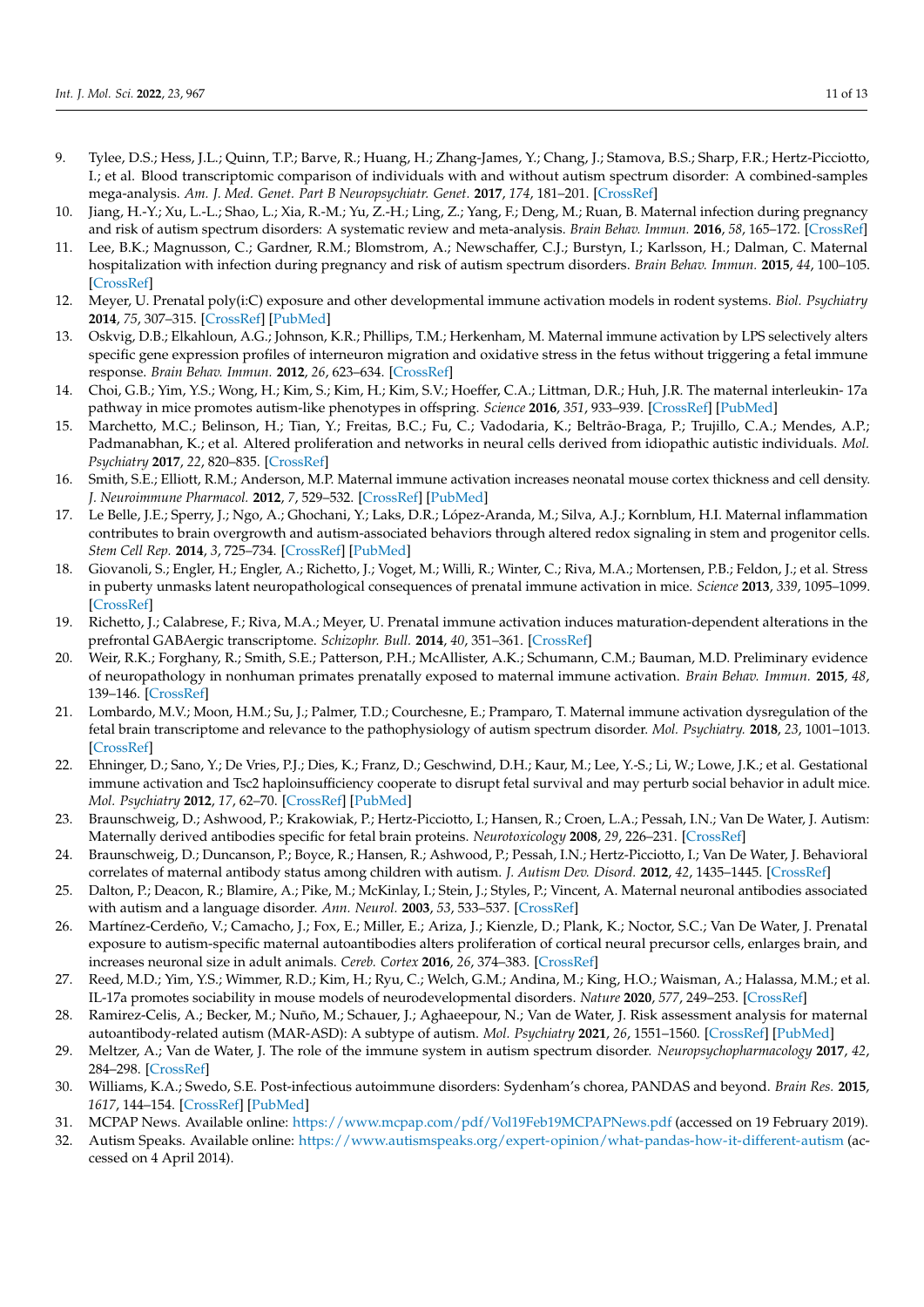- <span id="page-10-0"></span>9. Tylee, D.S.; Hess, J.L.; Quinn, T.P.; Barve, R.; Huang, H.; Zhang-James, Y.; Chang, J.; Stamova, B.S.; Sharp, F.R.; Hertz-Picciotto, I.; et al. Blood transcriptomic comparison of individuals with and without autism spectrum disorder: A combined-samples mega-analysis. *Am. J. Med. Genet. Part B Neuropsychiatr. Genet.* **2017**, *174*, 181–201. [\[CrossRef\]](http://doi.org/10.1002/ajmg.b.32511)
- <span id="page-10-1"></span>10. Jiang, H.-Y.; Xu, L.-L.; Shao, L.; Xia, R.-M.; Yu, Z.-H.; Ling, Z.; Yang, F.; Deng, M.; Ruan, B. Maternal infection during pregnancy and risk of autism spectrum disorders: A systematic review and meta-analysis. *Brain Behav. Immun.* **2016**, *58*, 165–172. [\[CrossRef\]](http://doi.org/10.1016/j.bbi.2016.06.005)
- <span id="page-10-2"></span>11. Lee, B.K.; Magnusson, C.; Gardner, R.M.; Blomstrom, A.; Newschaffer, C.J.; Burstyn, I.; Karlsson, H.; Dalman, C. Maternal hospitalization with infection during pregnancy and risk of autism spectrum disorders. *Brain Behav. Immun.* **2015**, *44*, 100–105. [\[CrossRef\]](http://doi.org/10.1016/j.bbi.2014.09.001)
- <span id="page-10-3"></span>12. Meyer, U. Prenatal poly(i:C) exposure and other developmental immune activation models in rodent systems. *Biol. Psychiatry* **2014**, *75*, 307–315. [\[CrossRef\]](http://doi.org/10.1016/j.biopsych.2013.07.011) [\[PubMed\]](http://www.ncbi.nlm.nih.gov/pubmed/23938317)
- <span id="page-10-4"></span>13. Oskvig, D.B.; Elkahloun, A.G.; Johnson, K.R.; Phillips, T.M.; Herkenham, M. Maternal immune activation by LPS selectively alters specific gene expression profiles of interneuron migration and oxidative stress in the fetus without triggering a fetal immune response. *Brain Behav. Immun.* **2012**, *26*, 623–634. [\[CrossRef\]](http://doi.org/10.1016/j.bbi.2012.01.015)
- <span id="page-10-5"></span>14. Choi, G.B.; Yim, Y.S.; Wong, H.; Kim, S.; Kim, H.; Kim, S.V.; Hoeffer, C.A.; Littman, D.R.; Huh, J.R. The maternal interleukin- 17a pathway in mice promotes autism-like phenotypes in offspring. *Science* **2016**, *351*, 933–939. [\[CrossRef\]](http://doi.org/10.1126/science.aad0314) [\[PubMed\]](http://www.ncbi.nlm.nih.gov/pubmed/26822608)
- <span id="page-10-6"></span>15. Marchetto, M.C.; Belinson, H.; Tian, Y.; Freitas, B.C.; Fu, C.; Vadodaria, K.; Beltrão-Braga, P.; Trujillo, C.A.; Mendes, A.P.; Padmanabhan, K.; et al. Altered proliferation and networks in neural cells derived from idiopathic autistic individuals. *Mol. Psychiatry* **2017**, *22*, 820–835. [\[CrossRef\]](http://doi.org/10.1038/mp.2016.95)
- <span id="page-10-7"></span>16. Smith, S.E.; Elliott, R.M.; Anderson, M.P. Maternal immune activation increases neonatal mouse cortex thickness and cell density. *J. Neuroimmune Pharmacol.* **2012**, *7*, 529–532. [\[CrossRef\]](http://doi.org/10.1007/s11481-012-9372-1) [\[PubMed\]](http://www.ncbi.nlm.nih.gov/pubmed/22570011)
- <span id="page-10-8"></span>17. Le Belle, J.E.; Sperry, J.; Ngo, A.; Ghochani, Y.; Laks, D.R.; López-Aranda, M.; Silva, A.J.; Kornblum, H.I. Maternal inflammation contributes to brain overgrowth and autism-associated behaviors through altered redox signaling in stem and progenitor cells. *Stem Cell Rep.* **2014**, *3*, 725–734. [\[CrossRef\]](http://doi.org/10.1016/j.stemcr.2014.09.004) [\[PubMed\]](http://www.ncbi.nlm.nih.gov/pubmed/25418720)
- <span id="page-10-9"></span>18. Giovanoli, S.; Engler, H.; Engler, A.; Richetto, J.; Voget, M.; Willi, R.; Winter, C.; Riva, M.A.; Mortensen, P.B.; Feldon, J.; et al. Stress in puberty unmasks latent neuropathological consequences of prenatal immune activation in mice. *Science* **2013**, *339*, 1095–1099. [\[CrossRef\]](http://doi.org/10.1126/science.1228261)
- <span id="page-10-10"></span>19. Richetto, J.; Calabrese, F.; Riva, M.A.; Meyer, U. Prenatal immune activation induces maturation-dependent alterations in the prefrontal GABAergic transcriptome. *Schizophr. Bull.* **2014**, *40*, 351–361. [\[CrossRef\]](http://doi.org/10.1093/schbul/sbs195)
- <span id="page-10-11"></span>20. Weir, R.K.; Forghany, R.; Smith, S.E.; Patterson, P.H.; McAllister, A.K.; Schumann, C.M.; Bauman, M.D. Preliminary evidence of neuropathology in nonhuman primates prenatally exposed to maternal immune activation. *Brain Behav. Immun.* **2015**, *48*, 139–146. [\[CrossRef\]](http://doi.org/10.1016/j.bbi.2015.03.009)
- <span id="page-10-12"></span>21. Lombardo, M.V.; Moon, H.M.; Su, J.; Palmer, T.D.; Courchesne, E.; Pramparo, T. Maternal immune activation dysregulation of the fetal brain transcriptome and relevance to the pathophysiology of autism spectrum disorder. *Mol. Psychiatry.* **2018**, *23*, 1001–1013. [\[CrossRef\]](http://doi.org/10.1038/mp.2017.15)
- <span id="page-10-13"></span>22. Ehninger, D.; Sano, Y.; De Vries, P.J.; Dies, K.; Franz, D.; Geschwind, D.H.; Kaur, M.; Lee, Y.-S.; Li, W.; Lowe, J.K.; et al. Gestational immune activation and Tsc2 haploinsufficiency cooperate to disrupt fetal survival and may perturb social behavior in adult mice. *Mol. Psychiatry* **2012**, *17*, 62–70. [\[CrossRef\]](http://doi.org/10.1038/mp.2010.115) [\[PubMed\]](http://www.ncbi.nlm.nih.gov/pubmed/21079609)
- <span id="page-10-14"></span>23. Braunschweig, D.; Ashwood, P.; Krakowiak, P.; Hertz-Picciotto, I.; Hansen, R.; Croen, L.A.; Pessah, I.N.; Van De Water, J. Autism: Maternally derived antibodies specific for fetal brain proteins. *Neurotoxicology* **2008**, *29*, 226–231. [\[CrossRef\]](http://doi.org/10.1016/j.neuro.2007.10.010)
- <span id="page-10-15"></span>24. Braunschweig, D.; Duncanson, P.; Boyce, R.; Hansen, R.; Ashwood, P.; Pessah, I.N.; Hertz-Picciotto, I.; Van De Water, J. Behavioral correlates of maternal antibody status among children with autism. *J. Autism Dev. Disord.* **2012**, *42*, 1435–1445. [\[CrossRef\]](http://doi.org/10.1007/s10803-011-1378-7)
- <span id="page-10-16"></span>25. Dalton, P.; Deacon, R.; Blamire, A.; Pike, M.; McKinlay, I.; Stein, J.; Styles, P.; Vincent, A. Maternal neuronal antibodies associated with autism and a language disorder. *Ann. Neurol.* **2003**, *53*, 533–537. [\[CrossRef\]](http://doi.org/10.1002/ana.10557)
- <span id="page-10-17"></span>26. Martínez-Cerdeño, V.; Camacho, J.; Fox, E.; Miller, E.; Ariza, J.; Kienzle, D.; Plank, K.; Noctor, S.C.; Van De Water, J. Prenatal exposure to autism-specific maternal autoantibodies alters proliferation of cortical neural precursor cells, enlarges brain, and increases neuronal size in adult animals. *Cereb. Cortex* **2016**, *26*, 374–383. [\[CrossRef\]](http://doi.org/10.1093/cercor/bhu291)
- <span id="page-10-18"></span>27. Reed, M.D.; Yim, Y.S.; Wimmer, R.D.; Kim, H.; Ryu, C.; Welch, G.M.; Andina, M.; King, H.O.; Waisman, A.; Halassa, M.M.; et al. IL-17a promotes sociability in mouse models of neurodevelopmental disorders. *Nature* **2020**, *577*, 249–253. [\[CrossRef\]](http://doi.org/10.1038/s41586-019-1843-6)
- <span id="page-10-19"></span>28. Ramirez-Celis, A.; Becker, M.; Nuño, M.; Schauer, J.; Aghaeepour, N.; Van de Water, J. Risk assessment analysis for maternal autoantibody-related autism (MAR-ASD): A subtype of autism. *Mol. Psychiatry* **2021**, *26*, 1551–1560. [\[CrossRef\]](http://doi.org/10.1038/s41380-020-00998-8) [\[PubMed\]](http://www.ncbi.nlm.nih.gov/pubmed/33483694)
- <span id="page-10-20"></span>29. Meltzer, A.; Van de Water, J. The role of the immune system in autism spectrum disorder. *Neuropsychopharmacology* **2017**, *42*, 284–298. [\[CrossRef\]](http://doi.org/10.1038/npp.2016.158)
- <span id="page-10-21"></span>30. Williams, K.A.; Swedo, S.E. Post-infectious autoimmune disorders: Sydenham's chorea, PANDAS and beyond. *Brain Res.* **2015**, *1617*, 144–154. [\[CrossRef\]](http://doi.org/10.1016/j.brainres.2014.09.071) [\[PubMed\]](http://www.ncbi.nlm.nih.gov/pubmed/25301689)
- <span id="page-10-22"></span>31. MCPAP News. Available online: <https://www.mcpap.com/pdf/Vol19Feb19MCPAPNews.pdf> (accessed on 19 February 2019).
- <span id="page-10-23"></span>32. Autism Speaks. Available online: <https://www.autismspeaks.org/expert-opinion/what-pandas-how-it-different-autism> (accessed on 4 April 2014).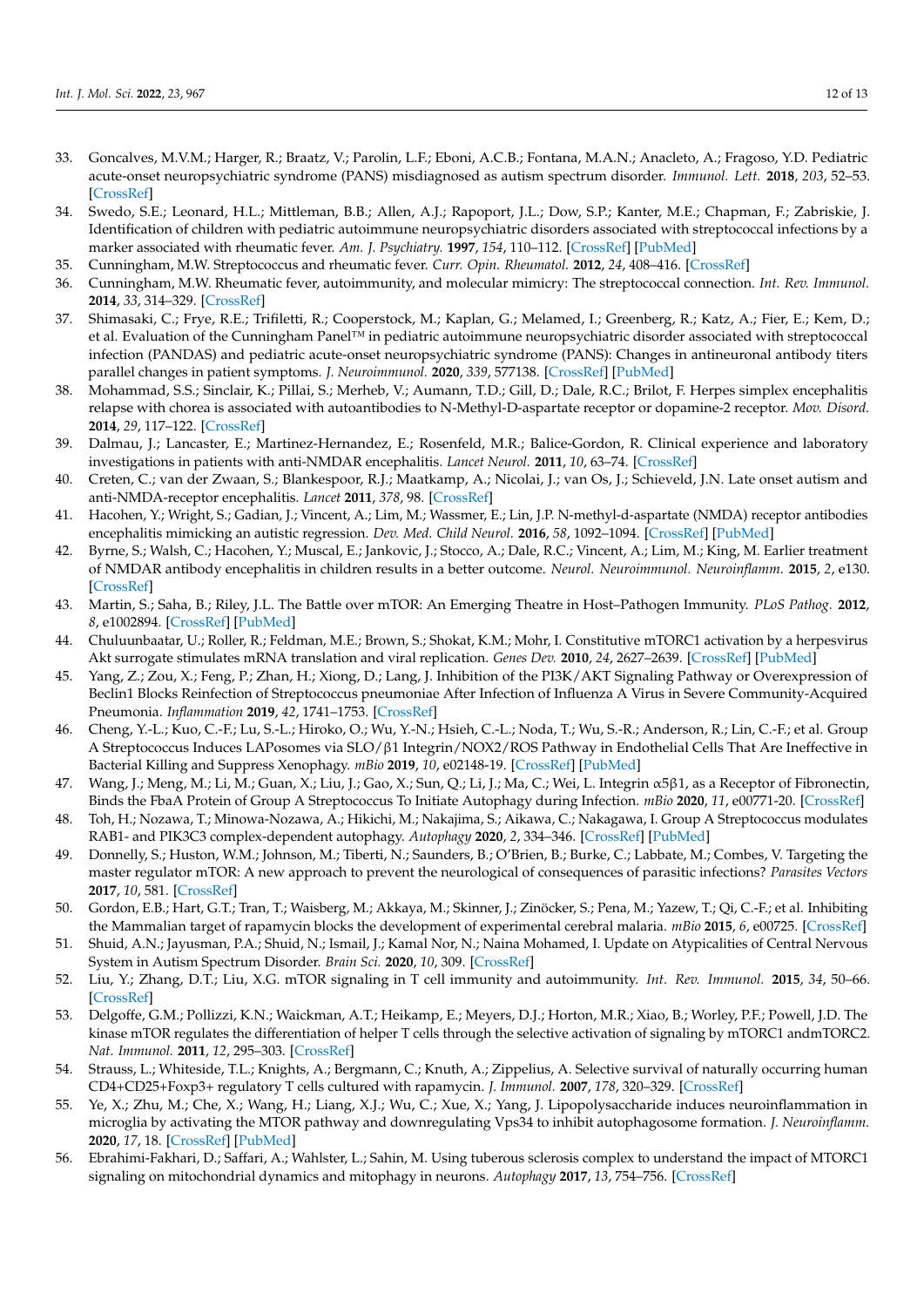- <span id="page-11-0"></span>33. Goncalves, M.V.M.; Harger, R.; Braatz, V.; Parolin, L.F.; Eboni, A.C.B.; Fontana, M.A.N.; Anacleto, A.; Fragoso, Y.D. Pediatric acute-onset neuropsychiatric syndrome (PANS) misdiagnosed as autism spectrum disorder. *Immunol. Lett.* **2018**, *203*, 52–53. [\[CrossRef\]](http://doi.org/10.1016/j.imlet.2018.09.009)
- <span id="page-11-1"></span>34. Swedo, S.E.; Leonard, H.L.; Mittleman, B.B.; Allen, A.J.; Rapoport, J.L.; Dow, S.P.; Kanter, M.E.; Chapman, F.; Zabriskie, J. Identification of children with pediatric autoimmune neuropsychiatric disorders associated with streptococcal infections by a marker associated with rheumatic fever. *Am. J. Psychiatry.* **1997**, *154*, 110–112. [\[CrossRef\]](http://doi.org/10.1176/ajp.154.1.110) [\[PubMed\]](http://www.ncbi.nlm.nih.gov/pubmed/8988969)
- <span id="page-11-2"></span>35. Cunningham, M.W. Streptococcus and rheumatic fever. *Curr. Opin. Rheumatol.* **2012**, *24*, 408–416. [\[CrossRef\]](http://doi.org/10.1097/BOR.0b013e32835461d3)
- <span id="page-11-3"></span>36. Cunningham, M.W. Rheumatic fever, autoimmunity, and molecular mimicry: The streptococcal connection. *Int. Rev. Immunol.* **2014**, *33*, 314–329. [\[CrossRef\]](http://doi.org/10.3109/08830185.2014.917411)
- <span id="page-11-4"></span>37. Shimasaki, C.; Frye, R.E.; Trifiletti, R.; Cooperstock, M.; Kaplan, G.; Melamed, I.; Greenberg, R.; Katz, A.; Fier, E.; Kem, D.; et al. Evaluation of the Cunningham Panel™ in pediatric autoimmune neuropsychiatric disorder associated with streptococcal infection (PANDAS) and pediatric acute-onset neuropsychiatric syndrome (PANS): Changes in antineuronal antibody titers parallel changes in patient symptoms. *J. Neuroimmunol.* **2020**, *339*, 577138. [\[CrossRef\]](http://doi.org/10.1016/j.jneuroim.2019.577138) [\[PubMed\]](http://www.ncbi.nlm.nih.gov/pubmed/31884258)
- <span id="page-11-5"></span>38. Mohammad, S.S.; Sinclair, K.; Pillai, S.; Merheb, V.; Aumann, T.D.; Gill, D.; Dale, R.C.; Brilot, F. Herpes simplex encephalitis relapse with chorea is associated with autoantibodies to N-Methyl-D-aspartate receptor or dopamine-2 receptor. *Mov. Disord.* **2014**, *29*, 117–122. [\[CrossRef\]](http://doi.org/10.1002/mds.25623)
- <span id="page-11-6"></span>39. Dalmau, J.; Lancaster, E.; Martinez-Hernandez, E.; Rosenfeld, M.R.; Balice-Gordon, R. Clinical experience and laboratory investigations in patients with anti-NMDAR encephalitis. *Lancet Neurol.* **2011**, *10*, 63–74. [\[CrossRef\]](http://doi.org/10.1016/S1474-4422(10)70253-2)
- <span id="page-11-7"></span>40. Creten, C.; van der Zwaan, S.; Blankespoor, R.J.; Maatkamp, A.; Nicolai, J.; van Os, J.; Schieveld, J.N. Late onset autism and anti-NMDA-receptor encephalitis. *Lancet* **2011**, *378*, 98. [\[CrossRef\]](http://doi.org/10.1016/S0140-6736(11)60548-5)
- <span id="page-11-8"></span>41. Hacohen, Y.; Wright, S.; Gadian, J.; Vincent, A.; Lim, M.; Wassmer, E.; Lin, J.P. N-methyl-d-aspartate (NMDA) receptor antibodies encephalitis mimicking an autistic regression. *Dev. Med. Child Neurol.* **2016**, *58*, 1092–1094. [\[CrossRef\]](http://doi.org/10.1111/dmcn.13169) [\[PubMed\]](http://www.ncbi.nlm.nih.gov/pubmed/27255282)
- <span id="page-11-9"></span>42. Byrne, S.; Walsh, C.; Hacohen, Y.; Muscal, E.; Jankovic, J.; Stocco, A.; Dale, R.C.; Vincent, A.; Lim, M.; King, M. Earlier treatment of NMDAR antibody encephalitis in children results in a better outcome. *Neurol. Neuroimmunol. Neuroinflamm.* **2015**, *2*, e130. [\[CrossRef\]](http://doi.org/10.1212/NXI.0000000000000130)
- <span id="page-11-10"></span>43. Martin, S.; Saha, B.; Riley, J.L. The Battle over mTOR: An Emerging Theatre in Host–Pathogen Immunity. *PLoS Pathog.* **2012**, *8*, e1002894. [\[CrossRef\]](http://doi.org/10.1371/journal.ppat.1002894) [\[PubMed\]](http://www.ncbi.nlm.nih.gov/pubmed/23028309)
- <span id="page-11-11"></span>44. Chuluunbaatar, U.; Roller, R.; Feldman, M.E.; Brown, S.; Shokat, K.M.; Mohr, I. Constitutive mTORC1 activation by a herpesvirus Akt surrogate stimulates mRNA translation and viral replication. *Genes Dev.* **2010**, *24*, 2627–2639. [\[CrossRef\]](http://doi.org/10.1101/gad.1978310) [\[PubMed\]](http://www.ncbi.nlm.nih.gov/pubmed/21123650)
- <span id="page-11-12"></span>45. Yang, Z.; Zou, X.; Feng, P.; Zhan, H.; Xiong, D.; Lang, J. Inhibition of the PI3K/AKT Signaling Pathway or Overexpression of Beclin1 Blocks Reinfection of Streptococcus pneumoniae After Infection of Influenza A Virus in Severe Community-Acquired Pneumonia. *Inflammation* **2019**, *42*, 1741–1753. [\[CrossRef\]](http://doi.org/10.1007/s10753-019-01035-9)
- <span id="page-11-13"></span>46. Cheng, Y.-L.; Kuo, C.-F.; Lu, S.-L.; Hiroko, O.; Wu, Y.-N.; Hsieh, C.-L.; Noda, T.; Wu, S.-R.; Anderson, R.; Lin, C.-F.; et al. Group A Streptococcus Induces LAPosomes via SLO/β1 Integrin/NOX2/ROS Pathway in Endothelial Cells That Are Ineffective in Bacterial Killing and Suppress Xenophagy. *mBio* **2019**, *10*, e02148-19. [\[CrossRef\]](http://doi.org/10.1128/mBio.02148-19) [\[PubMed\]](http://www.ncbi.nlm.nih.gov/pubmed/31575768)
- <span id="page-11-14"></span>47. Wang, J.; Meng, M.; Li, M.; Guan, X.; Liu, J.; Gao, X.; Sun, Q.; Li, J.; Ma, C.; Wei, L. Integrin α5β1, as a Receptor of Fibronectin, Binds the FbaA Protein of Group A Streptococcus To Initiate Autophagy during Infection. *mBio* **2020**, *11*, e00771-20. [\[CrossRef\]](http://doi.org/10.1128/mBio.00771-20)
- <span id="page-11-15"></span>48. Toh, H.; Nozawa, T.; Minowa-Nozawa, A.; Hikichi, M.; Nakajima, S.; Aikawa, C.; Nakagawa, I. Group A Streptococcus modulates RAB1- and PIK3C3 complex-dependent autophagy. *Autophagy* **2020**, *2*, 334–346. [\[CrossRef\]](http://doi.org/10.1080/15548627.2019.1628539) [\[PubMed\]](http://www.ncbi.nlm.nih.gov/pubmed/31177902)
- <span id="page-11-16"></span>49. Donnelly, S.; Huston, W.M.; Johnson, M.; Tiberti, N.; Saunders, B.; O'Brien, B.; Burke, C.; Labbate, M.; Combes, V. Targeting the master regulator mTOR: A new approach to prevent the neurological of consequences of parasitic infections? *Parasites Vectors* **2017**, *10*, 581. [\[CrossRef\]](http://doi.org/10.1186/s13071-017-2528-3)
- <span id="page-11-17"></span>50. Gordon, E.B.; Hart, G.T.; Tran, T.; Waisberg, M.; Akkaya, M.; Skinner, J.; Zinöcker, S.; Pena, M.; Yazew, T.; Qi, C.-F.; et al. Inhibiting the Mammalian target of rapamycin blocks the development of experimental cerebral malaria. *mBio* **2015**, *6*, e00725. [\[CrossRef\]](http://doi.org/10.1128/mBio.00725-15)
- <span id="page-11-18"></span>51. Shuid, A.N.; Jayusman, P.A.; Shuid, N.; Ismail, J.; Kamal Nor, N.; Naina Mohamed, I. Update on Atypicalities of Central Nervous System in Autism Spectrum Disorder. *Brain Sci.* **2020**, *10*, 309. [\[CrossRef\]](http://doi.org/10.3390/brainsci10050309)
- <span id="page-11-19"></span>52. Liu, Y.; Zhang, D.T.; Liu, X.G. mTOR signaling in T cell immunity and autoimmunity. *Int. Rev. Immunol.* **2015**, *34*, 50–66. [\[CrossRef\]](http://doi.org/10.3109/08830185.2014.933957)
- <span id="page-11-20"></span>53. Delgoffe, G.M.; Pollizzi, K.N.; Waickman, A.T.; Heikamp, E.; Meyers, D.J.; Horton, M.R.; Xiao, B.; Worley, P.F.; Powell, J.D. The kinase mTOR regulates the differentiation of helper T cells through the selective activation of signaling by mTORC1 andmTORC2. *Nat. Immunol.* **2011**, *12*, 295–303. [\[CrossRef\]](http://doi.org/10.1038/ni.2005)
- <span id="page-11-21"></span>54. Strauss, L.; Whiteside, T.L.; Knights, A.; Bergmann, C.; Knuth, A.; Zippelius, A. Selective survival of naturally occurring human CD4+CD25+Foxp3+ regulatory T cells cultured with rapamycin. *J. Immunol.* **2007**, *178*, 320–329. [\[CrossRef\]](http://doi.org/10.4049/jimmunol.178.1.320)
- <span id="page-11-22"></span>55. Ye, X.; Zhu, M.; Che, X.; Wang, H.; Liang, X.J.; Wu, C.; Xue, X.; Yang, J. Lipopolysaccharide induces neuroinflammation in microglia by activating the MTOR pathway and downregulating Vps34 to inhibit autophagosome formation. *J. Neuroinflamm.* **2020**, *17*, 18. [\[CrossRef\]](http://doi.org/10.1186/s12974-019-1644-8) [\[PubMed\]](http://www.ncbi.nlm.nih.gov/pubmed/31926553)
- <span id="page-11-23"></span>56. Ebrahimi-Fakhari, D.; Saffari, A.; Wahlster, L.; Sahin, M. Using tuberous sclerosis complex to understand the impact of MTORC1 signaling on mitochondrial dynamics and mitophagy in neurons. *Autophagy* **2017**, *13*, 754–756. [\[CrossRef\]](http://doi.org/10.1080/15548627.2016.1277310)